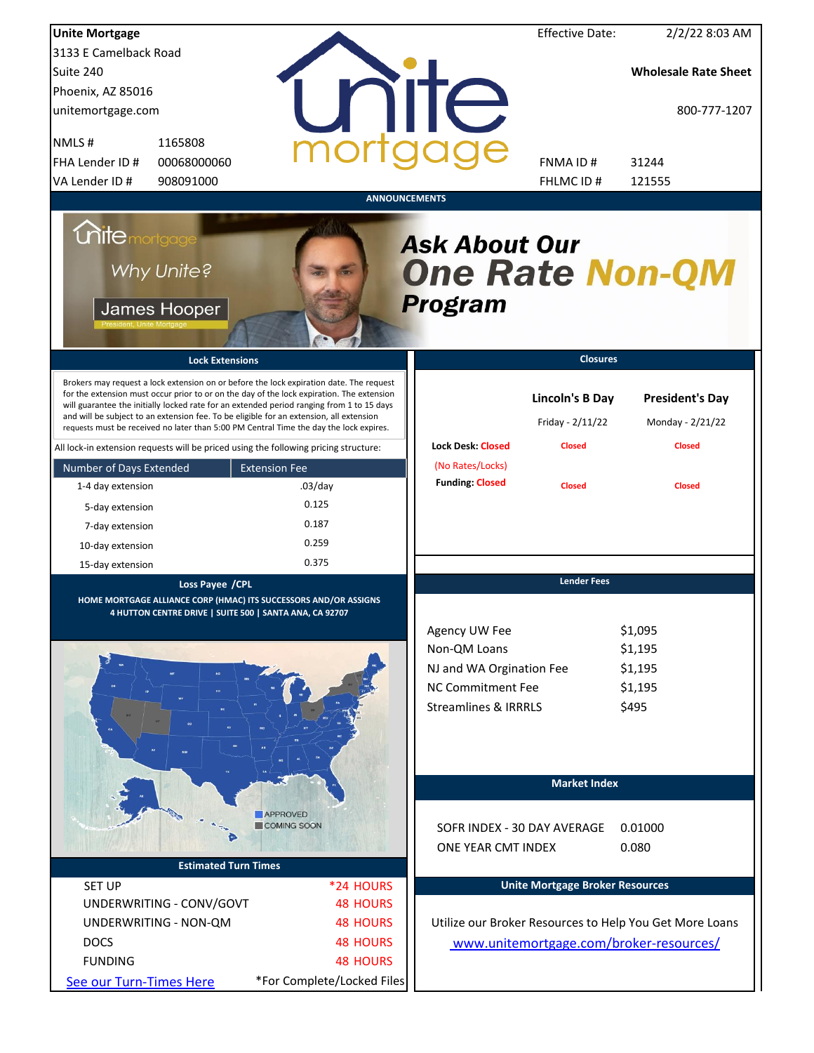| <b>Unite Mortgage</b>                                                                                                                                                                                                                                                                                                                                                                                                                                                                                                                                          |                                       |                                                                                                                          | <b>Effective Date:</b>                                      | 2/2/22 8:03 AM                                              |
|----------------------------------------------------------------------------------------------------------------------------------------------------------------------------------------------------------------------------------------------------------------------------------------------------------------------------------------------------------------------------------------------------------------------------------------------------------------------------------------------------------------------------------------------------------------|---------------------------------------|--------------------------------------------------------------------------------------------------------------------------|-------------------------------------------------------------|-------------------------------------------------------------|
| 3133 E Camelback Road                                                                                                                                                                                                                                                                                                                                                                                                                                                                                                                                          |                                       |                                                                                                                          |                                                             |                                                             |
| Suite 240                                                                                                                                                                                                                                                                                                                                                                                                                                                                                                                                                      |                                       |                                                                                                                          |                                                             | <b>Wholesale Rate Sheet</b>                                 |
| Phoenix, AZ 85016                                                                                                                                                                                                                                                                                                                                                                                                                                                                                                                                              |                                       |                                                                                                                          |                                                             |                                                             |
| unitemortgage.com                                                                                                                                                                                                                                                                                                                                                                                                                                                                                                                                              |                                       | <b>TITE</b>                                                                                                              |                                                             | 800-777-1207                                                |
| 1165808<br>NMLS#                                                                                                                                                                                                                                                                                                                                                                                                                                                                                                                                               |                                       |                                                                                                                          |                                                             |                                                             |
| FHA Lender ID #<br>00068000060                                                                                                                                                                                                                                                                                                                                                                                                                                                                                                                                 |                                       |                                                                                                                          | FNMA ID#                                                    | 31244                                                       |
| VA Lender ID #<br>908091000                                                                                                                                                                                                                                                                                                                                                                                                                                                                                                                                    |                                       |                                                                                                                          | FHLMC ID#                                                   | 121555                                                      |
|                                                                                                                                                                                                                                                                                                                                                                                                                                                                                                                                                                |                                       | <b>ANNOUNCEMENTS</b>                                                                                                     |                                                             |                                                             |
| <i><b>Unitemortgage</b></i><br>Why Unite?<br>James Hooper                                                                                                                                                                                                                                                                                                                                                                                                                                                                                                      |                                       | <b>Ask About Our</b><br><b>One Rate Non-QM</b><br><b>Program</b>                                                         |                                                             |                                                             |
| <b>Lock Extensions</b>                                                                                                                                                                                                                                                                                                                                                                                                                                                                                                                                         |                                       |                                                                                                                          | <b>Closures</b>                                             |                                                             |
| Brokers may request a lock extension on or before the lock expiration date. The request<br>for the extension must occur prior to or on the day of the lock expiration. The extension<br>will guarantee the initially locked rate for an extended period ranging from 1 to 15 days<br>and will be subject to an extension fee. To be eligible for an extension, all extension<br>requests must be received no later than 5:00 PM Central Time the day the lock expires.<br>All lock-in extension requests will be priced using the following pricing structure: |                                       | <b>Lock Desk: Closed</b>                                                                                                 | <b>Lincoln's B Day</b><br>Friday - 2/11/22<br><b>Closed</b> | <b>President's Day</b><br>Monday - 2/21/22<br><b>Closed</b> |
|                                                                                                                                                                                                                                                                                                                                                                                                                                                                                                                                                                | <b>Extension Fee</b>                  | (No Rates/Locks)                                                                                                         |                                                             |                                                             |
| Number of Days Extended<br>1-4 day extension                                                                                                                                                                                                                                                                                                                                                                                                                                                                                                                   | $.03$ /day                            | <b>Funding: Closed</b>                                                                                                   | <b>Closed</b>                                               | <b>Closed</b>                                               |
|                                                                                                                                                                                                                                                                                                                                                                                                                                                                                                                                                                | 0.125                                 |                                                                                                                          |                                                             |                                                             |
| 5-day extension                                                                                                                                                                                                                                                                                                                                                                                                                                                                                                                                                | 0.187                                 |                                                                                                                          |                                                             |                                                             |
| 7-day extension                                                                                                                                                                                                                                                                                                                                                                                                                                                                                                                                                |                                       |                                                                                                                          |                                                             |                                                             |
| 10-day extension                                                                                                                                                                                                                                                                                                                                                                                                                                                                                                                                               | 0.259                                 |                                                                                                                          |                                                             |                                                             |
| 15-day extension                                                                                                                                                                                                                                                                                                                                                                                                                                                                                                                                               | 0.375                                 |                                                                                                                          |                                                             |                                                             |
| Loss Payee /CPL<br>HOME MORTGAGE ALLIANCE CORP (HMAC) ITS SUCCESSORS AND/OR ASSIGNS<br>4 HUTTON CENTRE DRIVE   SUITE 500   SANTA ANA, CA 92707                                                                                                                                                                                                                                                                                                                                                                                                                 |                                       | Agency UW Fee<br>Non-QM Loans<br>NJ and WA Orgination Fee<br><b>NC Commitment Fee</b><br><b>Streamlines &amp; IRRRLS</b> | <b>Lender Fees</b>                                          | \$1,095<br>\$1,195<br>\$1,195<br>\$1,195<br>\$495           |
|                                                                                                                                                                                                                                                                                                                                                                                                                                                                                                                                                                |                                       |                                                                                                                          | <b>Market Index</b>                                         |                                                             |
| <b>Estimated Turn Times</b>                                                                                                                                                                                                                                                                                                                                                                                                                                                                                                                                    | <b>APPROVED</b><br><b>COMING SOON</b> | SOFR INDEX - 30 DAY AVERAGE<br>ONE YEAR CMT INDEX                                                                        |                                                             | 0.01000<br>0.080                                            |
|                                                                                                                                                                                                                                                                                                                                                                                                                                                                                                                                                                |                                       |                                                                                                                          |                                                             |                                                             |
| <b>SET UP</b><br>UNDERWRITING - CONV/GOVT                                                                                                                                                                                                                                                                                                                                                                                                                                                                                                                      | *24 HOURS<br><b>48 HOURS</b>          |                                                                                                                          | <b>Unite Mortgage Broker Resources</b>                      |                                                             |
|                                                                                                                                                                                                                                                                                                                                                                                                                                                                                                                                                                |                                       |                                                                                                                          |                                                             |                                                             |
| UNDERWRITING - NON-QM                                                                                                                                                                                                                                                                                                                                                                                                                                                                                                                                          | <b>48 HOURS</b>                       |                                                                                                                          |                                                             | Utilize our Broker Resources to Help You Get More Loans     |
| <b>DOCS</b>                                                                                                                                                                                                                                                                                                                                                                                                                                                                                                                                                    | <b>48 HOURS</b>                       |                                                                                                                          |                                                             | www.unitemortgage.com/broker-resources/                     |
| <b>FUNDING</b>                                                                                                                                                                                                                                                                                                                                                                                                                                                                                                                                                 | <b>48 HOURS</b>                       |                                                                                                                          |                                                             |                                                             |
| See our Turn-Times Here                                                                                                                                                                                                                                                                                                                                                                                                                                                                                                                                        | *For Complete/Locked Files            |                                                                                                                          |                                                             |                                                             |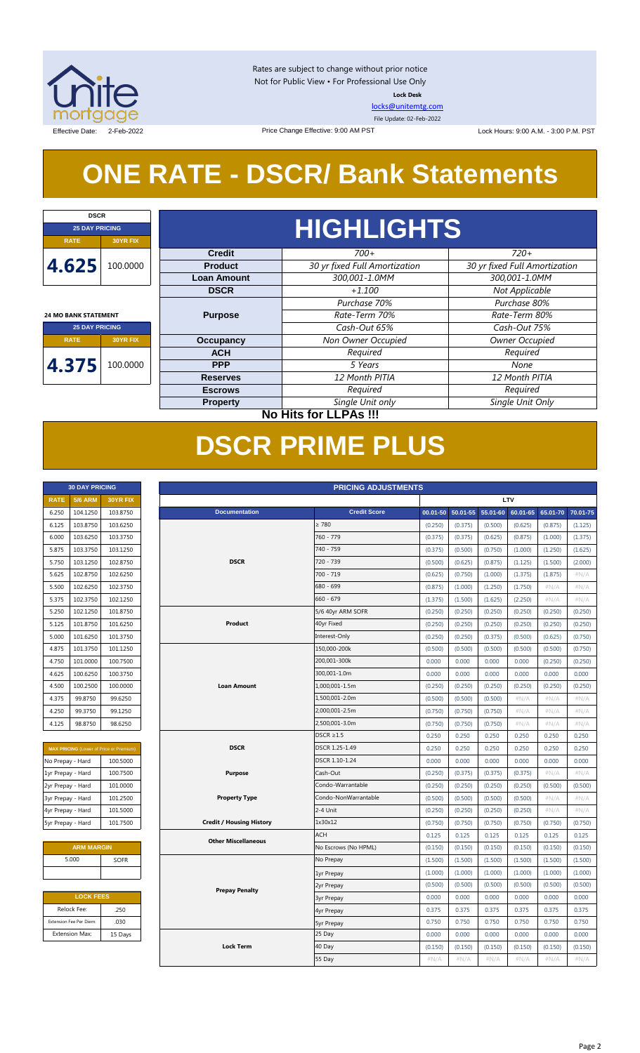

**DSCR**

 $\mathbf{I}$ 

Rates are subject to change without prior notice Not for Public View • For Professional Use Only **Lock Desk**

[locks@unitemtg.com](mailto:locks@unitemtg.com)

File Update: 02-Feb-2022

Effective Date: 2-Feb-2022 2009 Price Change Effective: 9:00 AM PST Lock Hours: 9:00 A.M. - 3:00 P.M. PST

# **ONE RATE - DSCR/ Bank Statements**

Price Change Effective: 9:00 AM PST

| <b>25 DAY PRICING</b>       |          |  |
|-----------------------------|----------|--|
| <b>RATE</b>                 | 30YR FIX |  |
| 4.625<br>100.0000           |          |  |
| <b>24 MO BANK STATEMENT</b> |          |  |
| <b>25 DAY PRICING</b>       |          |  |
| <b>RATE</b>                 | 30YR FIX |  |
| 4.375                       | 100.0000 |  |

11

# **HIGHLIGHTS**

| <b>Credit</b>      | $700+$                        | $720+$                        |
|--------------------|-------------------------------|-------------------------------|
| <b>Product</b>     | 30 yr fixed Full Amortization | 30 yr fixed Full Amortization |
| <b>Loan Amount</b> | 300,001-1.0MM                 | 300,001-1.0MM                 |
| <b>DSCR</b>        | $+1.100$                      | Not Applicable                |
|                    | Purchase 70%                  | Purchase 80%                  |
| <b>Purpose</b>     | Rate-Term 70%                 | Rate-Term 80%                 |
|                    | Cash-Out 65%                  | Cash-Out 75%                  |
| Occupancy          | Non Owner Occupied            | <b>Owner Occupied</b>         |
| <b>ACH</b>         | Required                      | Required                      |
| <b>PPP</b>         | 5 Years                       | None                          |
| <b>Reserves</b>    | 12 Month PITIA                | 12 Month PITIA                |
| <b>Escrows</b>     | Required                      | Required                      |
| <b>Property</b>    | Single Unit only              | Single Unit Only              |

**30 DAY PRICING PRICING ADJUSTMENTS**

**No Hits for LLPAs !!!**

## **DSCR PRIME PLUS**

| <b>30 DAY PRICING</b> |                |                 |
|-----------------------|----------------|-----------------|
| <b>RATE</b>           | <b>5/6 ARM</b> | <b>30YR FIX</b> |
| 6.250                 | 104.1250       | 103.8750        |
| 6.125                 | 103.8750       | 103.6250        |
| 6.000                 | 103.6250       | 103.3750        |
| 5.875                 | 103.3750       | 103.1250        |
| 5.750                 | 103.1250       | 102.8750        |
| 5.625                 | 102.8750       | 102.6250        |
| 5.500                 | 102.6250       | 102.3750        |
| 5.375                 | 102.3750       | 102.1250        |
| 5.250                 | 102.1250       | 101.8750        |
| 5.125                 | 101.8750       | 101.6250        |
| 5.000                 | 101.6250       | 101.3750        |
| 4.875                 | 101.3750       | 101.1250        |
| 4.750                 | 101.0000       | 100.7500        |
| 4.625                 | 100.6250       | 100.3750        |
| 4.500                 | 100.2500       | 100,0000        |
| 4.375                 | 99.8750        | 99.6250         |
| 4.250                 | 99.3750        | 99.1250         |
| 4.125                 | 98.8750        | 98.6250         |

| <b>MAX PRICING</b> (Lower of Price or Premium) |          |  |  |  |
|------------------------------------------------|----------|--|--|--|
| No Prepay - Hard                               | 100.5000 |  |  |  |
| 1yr Prepay - Hard                              | 100.7500 |  |  |  |
| 2yr Prepay - Hard                              | 101.0000 |  |  |  |
| 3yr Prepay - Hard                              | 101.2500 |  |  |  |
| 4yr Prepay - Hard                              | 101.5000 |  |  |  |
| 5yr Prepay - Hard                              | 101.7500 |  |  |  |

| <b>ARM MARGIN</b> |  |  |  |  |
|-------------------|--|--|--|--|
| 5.000<br>SOFR     |  |  |  |  |
|                   |  |  |  |  |

| <b>LOCK FEES</b>        |         |  |  |
|-------------------------|---------|--|--|
| Relock Fee:<br>.250     |         |  |  |
| Extension Fee Per Diem: | .030    |  |  |
| <b>Extension Max:</b>   | 15 Days |  |  |

| <b>RATE</b>       | <b>5/6 ARM</b>          | 30YR FIX                                       |                                 |                      |         |         |         | LTV                                          |         |          |
|-------------------|-------------------------|------------------------------------------------|---------------------------------|----------------------|---------|---------|---------|----------------------------------------------|---------|----------|
| 6.250             | 104.1250                | 103.8750                                       | <b>Documentation</b>            | <b>Credit Score</b>  |         |         |         | 00.01-50 50.01-55 55.01-60 60.01-65 65.01-70 |         | 70.01-75 |
| 6.125             | 103.8750                | 103.6250                                       |                                 | $\geq 780$           | (0.250) | (0.375) | (0.500) | (0.625)                                      | (0.875) | (1.125)  |
| 6.000             | 103.6250                | 103.3750                                       |                                 | 760 - 779            | (0.375) | (0.375) | (0.625) | (0.875)                                      | (1.000) | (1.375)  |
| 5.875             | 103.3750                | 103.1250                                       |                                 | 740 - 759            | (0.375) | (0.500) | (0.750) | (1.000)                                      | (1.250) | (1.625)  |
| 5.750             | 103.1250                | 102.8750                                       | <b>DSCR</b>                     | 720 - 739            | (0.500) | (0.625) | (0.875) | (1.125)                                      | (1.500) | (2.000)  |
| 5.625             | 102.8750                | 102.6250                                       |                                 | 700 - 719            | (0.625) | (0.750) | (1.000) | (1.375)                                      | (1.875) | #N/A     |
| 5.500             | 102.6250                | 102.3750                                       |                                 | 680 - 699            | (0.875) | (1.000) | (1.250) | (1.750)                                      | $\#N/A$ | $\#N/A$  |
| 5.375             | 102.3750                | 102.1250                                       |                                 | 660 - 679            | (1.375) | (1.500) | (1.625) | (2.250)                                      | #N/A    | #N/A     |
| 5.250             | 102.1250                | 101.8750                                       |                                 | 5/6 40yr ARM SOFR    | (0.250) | (0.250) | (0.250) | (0.250)                                      | (0.250) | (0.250)  |
| 5.125             | 101.8750                | 101.6250                                       | Product                         | 40yr Fixed           | (0.250) | (0.250) | (0.250) | (0.250)                                      | (0.250) | (0.250)  |
| 5.000             | 101.6250                | 101.3750                                       |                                 | Interest-Only        | (0.250) | (0.250) | (0.375) | (0.500)                                      | (0.625) | (0.750)  |
| 4.875             | 101.3750                | 101.1250                                       |                                 | 150,000-200k         | (0.500) | (0.500) | (0.500) | (0.500)                                      | (0.500) | (0.750)  |
| 4.750             | 101.0000                | 100.7500                                       |                                 | 200,001-300k         | 0.000   | 0.000   | 0.000   | 0.000                                        | (0.250) | (0.250)  |
| 4.625             | 100.6250                | 100.3750                                       |                                 | 300,001-1.0m         | 0.000   | 0.000   | 0.000   | 0.000                                        | 0.000   | 0.000    |
| 4.500             | 100.2500                | 100.0000                                       | <b>Loan Amount</b>              | 1,000,001-1.5m       | (0.250) | (0.250) | (0.250) | (0.250)                                      | (0.250) | (0.250)  |
| 4.375             | 99.8750                 | 99.6250                                        |                                 | 1,500,001-2.0m       | (0.500) | (0.500) | (0.500) | #N/A                                         | #N/A    | #N/A     |
| 4.250             | 99.3750                 | 99.1250                                        |                                 | 2,000,001-2.5m       | (0.750) | (0.750) | (0.750) | $\#N/A$                                      | #N/A    | #N/A     |
| 4.125             | 98.8750                 | 98.6250                                        |                                 | 2,500,001-3.0m       | (0.750) | (0.750) | (0.750) | $\#N/A$                                      | $\#N/A$ | #N/A     |
|                   |                         |                                                |                                 | $DSCR \geq 1.5$      | 0.250   | 0.250   | 0.250   | 0.250                                        | 0.250   | 0.250    |
|                   |                         | <b>MAX PRICING</b> (Lower of Price or Premium) | <b>DSCR</b>                     | DSCR 1.25-1.49       | 0.250   | 0.250   | 0.250   | 0.250                                        | 0.250   | 0.250    |
| No Prepay - Hard  |                         | 100.5000                                       |                                 | DSCR 1.10-1.24       | 0.000   | 0.000   | 0.000   | 0.000                                        | 0.000   | 0.000    |
| 1yr Prepay - Hard |                         | 100.7500                                       | <b>Purpose</b>                  | Cash-Out             | (0.250) | (0.375) | (0.375) | (0.375)                                      | $\#N/A$ | #N/A     |
| 2yr Prepay - Hard |                         | 101.0000                                       |                                 | Condo-Warrantable    | (0.250) | (0.250) | (0.250) | (0.250)                                      | (0.500) | (0.500)  |
| 3yr Prepay - Hard |                         | 101.2500                                       | <b>Property Type</b>            | Condo-NonWarrantable | (0.500) | (0.500) | (0.500) | (0.500)                                      | #N/A    | #N/A     |
| 4yr Prepay - Hard |                         | 101.5000                                       |                                 | 2-4 Unit             | (0.250) | (0.250) | (0.250) | (0.250)                                      | #N/A    | #N/A     |
| 5yr Prepay - Hard |                         | 101.7500                                       | <b>Credit / Housing History</b> | 1x30x12              | (0.750) | (0.750) | (0.750) | (0.750)                                      | (0.750) | (0.750)  |
|                   |                         |                                                | <b>Other Miscellaneous</b>      | <b>ACH</b>           | 0.125   | 0.125   | 0.125   | 0.125                                        | 0.125   | 0.125    |
|                   | <b>ARM MARGIN</b>       |                                                |                                 | No Escrows (No HPML) | (0.150) | (0.150) | (0.150) | (0.150)                                      | (0.150) | (0.150)  |
|                   | 5.000                   | <b>SOFR</b>                                    |                                 | No Prepay            | (1.500) | (1.500) | (1.500) | (1.500)                                      | (1.500) | (1.500)  |
|                   |                         |                                                |                                 | 1yr Prepay           | (1.000) | (1.000) | (1.000) | (1.000)                                      | (1.000) | (1.000)  |
|                   |                         | <b>Prepay Penalty</b>                          | 2yr Prepay                      | (0.500)              | (0.500) | (0.500) | (0.500) | (0.500)                                      | (0.500) |          |
|                   | <b>LOCK FEES</b>        |                                                |                                 | <b>3yr Prepay</b>    | 0.000   | 0.000   | 0.000   | 0.000                                        | 0.000   | 0.000    |
|                   | Relock Fee:             | .250                                           |                                 | 4yr Prepay           | 0.375   | 0.375   | 0.375   | 0.375                                        | 0.375   | 0.375    |
|                   | Extension Fee Per Diem: | .030                                           |                                 | <b>5yr Prepay</b>    | 0.750   | 0.750   | 0.750   | 0.750                                        | 0.750   | 0.750    |
|                   | Extension Max:          | 15 Days                                        |                                 | 25 Day               | 0.000   | 0.000   | 0.000   | 0.000                                        | 0.000   | 0.000    |
|                   |                         |                                                | <b>Lock Term</b>                | 40 Day               | (0.150) | (0.150) | (0.150) | (0.150)                                      | (0.150) | (0.150)  |
|                   |                         |                                                |                                 | 55 Day               | #N/A    | #N/A    | #N/A    | #N/A                                         | #N/A    | #N/A     |
|                   |                         |                                                |                                 |                      |         |         |         |                                              |         |          |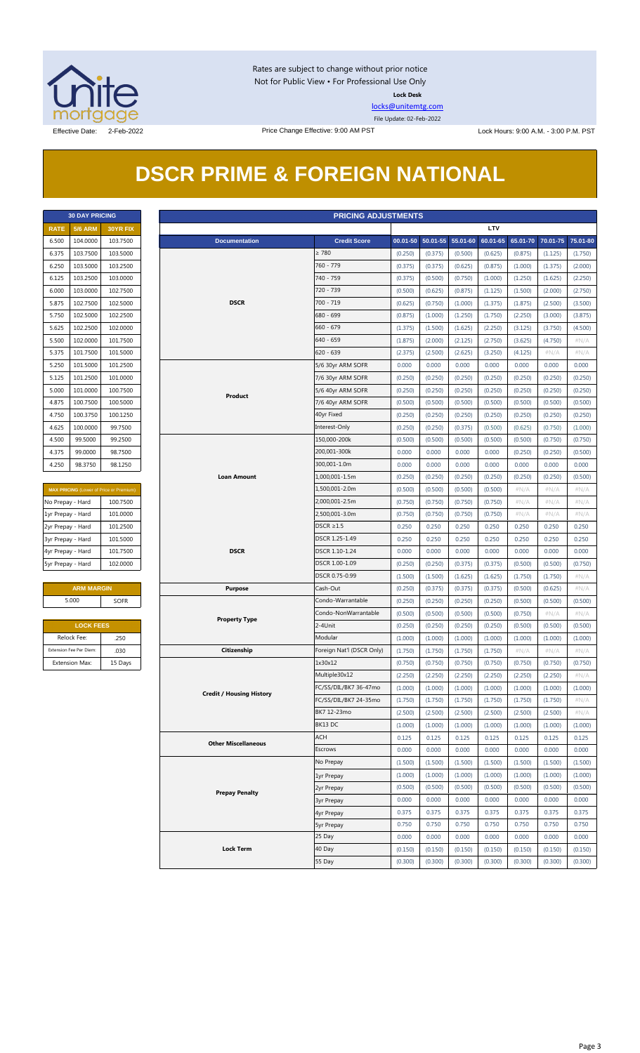

Rates are subject to change without prior notice Not for Public View • For Professional Use Only **Lock Desk**

[locks@unitemtg.com](mailto:locks@unitemtg.com) File Update: 02-Feb-2022

## **DSCR PRIME & FOREIGN NATIONAL**

| <b>30 DAY PRICING</b> |                |                 |  |  |
|-----------------------|----------------|-----------------|--|--|
| <b>RATE</b>           | <b>5/6 ARM</b> | <b>30YR FIX</b> |  |  |
| 6.500                 | 104.0000       | 103.7500        |  |  |
| 6.375                 | 103.7500       | 103.5000        |  |  |
| 6.250                 | 103.5000       | 103.2500        |  |  |
| 6.125                 | 103.2500       | 103.0000        |  |  |
| 6.000                 | 103.0000       | 102.7500        |  |  |
| 5.875                 | 102.7500       | 102.5000        |  |  |
| 5.750                 | 102.5000       | 102.2500        |  |  |
| 5.625                 | 102.2500       | 102,0000        |  |  |
| 5.500                 | 102.0000       | 101.7500        |  |  |
| 5.375                 | 101.7500       | 101.5000        |  |  |
| 5.250                 | 101.5000       | 101.2500        |  |  |
| 5.125                 | 101.2500       | 101.0000        |  |  |
| 5.000                 | 101.0000       | 100.7500        |  |  |
| 4.875                 | 100.7500       | 100.5000        |  |  |
| 4.750                 | 100.3750       | 100.1250        |  |  |
| 4.625                 | 100.0000       | 99.7500         |  |  |
| 4.500                 | 99.5000        | 99.2500         |  |  |
| 4.375                 | 99.0000        | 98.7500         |  |  |
| 4.250                 | 98.3750        | 98.1250         |  |  |

| <b>MAX PRICING (Lower of Price or Premium)</b> |          |  |  |
|------------------------------------------------|----------|--|--|
| No Prepay - Hard                               | 100.7500 |  |  |
| 1yr Prepay - Hard                              | 101.0000 |  |  |
| 2yr Prepay - Hard                              | 101.2500 |  |  |
| 3yr Prepay - Hard                              | 101.5000 |  |  |
| 4yr Prepay - Hard                              | 101.7500 |  |  |
| 5yr Prepay - Hard                              | 102,0000 |  |  |

| <b>ARM MARGIN</b> |      |  |  |
|-------------------|------|--|--|
| 5.000             | SOFR |  |  |

| <b>LOCK FEES</b>        |         |  |  |
|-------------------------|---------|--|--|
| Relock Fee:             | .250    |  |  |
| Extension Fee Per Diem: | .030    |  |  |
| <b>Extension Max:</b>   | 15 Days |  |  |

|                   | <b>30 DAY PRICING</b>   |                                         | <b>PRICING ADJUSTMENTS</b>      |                           |                  |                            |                  |                  |                  |                  |                  |  |  |  |
|-------------------|-------------------------|-----------------------------------------|---------------------------------|---------------------------|------------------|----------------------------|------------------|------------------|------------------|------------------|------------------|--|--|--|
| <b>RATE</b>       | <b>5/6 ARM</b>          | 30YR FIX                                |                                 |                           |                  |                            |                  | LTV              |                  |                  |                  |  |  |  |
| 6.500             | 104.0000                | 103.7500                                | <b>Documentation</b>            | <b>Credit Score</b>       |                  | 00.01-50 50.01-55 55.01-60 |                  | 60.01-65         | 65.01-70         | 70.01-75         | 75.01-80         |  |  |  |
| 6.375             | 103.7500                | 103.5000                                |                                 | $\geq 780$                | (0.250)          | (0.375)                    | (0.500)          | (0.625)          | (0.875)          | (1.125)          | (1.750)          |  |  |  |
| 6.250             | 103.5000                | 103.2500                                |                                 | 760 - 779                 | (0.375)          | (0.375)                    | (0.625)          | (0.875)          | (1.000)          | (1.375)          | (2.000)          |  |  |  |
| 6.125             | 103.2500                | 103.0000                                |                                 | 740 - 759                 | (0.375)          | (0.500)                    | (0.750)          | (1.000)          | (1.250)          | (1.625)          | (2.250)          |  |  |  |
| 6.000             | 103.0000                | 102.7500                                |                                 | 720 - 739                 | (0.500)          | (0.625)                    | (0.875)          | (1.125)          | (1.500)          | (2.000)          | (2.750)          |  |  |  |
| 5.875             | 102.7500                | 102.5000                                | <b>DSCR</b>                     | 700 - 719                 | (0.625)          | (0.750)                    | (1.000)          | (1.375)          | (1.875)          | (2.500)          | (3.500)          |  |  |  |
| 5.750             | 102.5000                | 102.2500                                |                                 | 680 - 699                 | (0.875)          | (1.000)                    | (1.250)          | (1.750)          | (2.250)          | (3.000)          | (3.875)          |  |  |  |
| 5.625             | 102.2500                | 102.0000                                |                                 | $660 - 679$               | (1.375)          | (1.500)                    | (1.625)          | (2.250)          | (3.125)          | (3.750)          | (4.500)          |  |  |  |
| 5.500             | 102.0000                | 101.7500                                |                                 | $640 - 659$               | (1.875)          | (2.000)                    | (2.125)          | (2.750)          | (3.625)          | (4.750)          | $\#N/A$          |  |  |  |
| 5.375             | 101.7500                | 101.5000                                |                                 | $620 - 639$               | (2.375)          | (2.500)                    | (2.625)          | (3.250)          | (4.125)          | $\#N/A$          | # $N/A$          |  |  |  |
| 5.250             | 101.5000                | 101.2500                                |                                 | 5/6 30yr ARM SOFR         | 0.000            | 0.000                      | 0.000            | 0.000            | 0.000            | 0.000            | 0.000            |  |  |  |
| 5.125             | 101.2500                | 101.0000                                |                                 | 7/6 30yr ARM SOFR         | (0.250)          | (0.250)                    | (0.250)          | (0.250)          | (0.250)          | (0.250)          | (0.250)          |  |  |  |
| 5.000             | 101.0000                | 100.7500                                |                                 | 5/6 40yr ARM SOFR         | (0.250)          | (0.250)                    | (0.250)          | (0.250)          | (0.250)          | (0.250)          | (0.250)          |  |  |  |
| 4.875             | 100.7500                | 100.5000                                | Product                         | 7/6 40yr ARM SOFR         | (0.500)          | (0.500)                    | (0.500)          | (0.500)          | (0.500)          | (0.500)          | (0.500)          |  |  |  |
| 4.750             | 100.3750                | 100.1250                                |                                 | 40yr Fixed                | (0.250)          | (0.250)                    | (0.250)          | (0.250)          | (0.250)          | (0.250)          | (0.250)          |  |  |  |
| 4.625             | 100.0000                | 99.7500                                 |                                 | Interest-Only             | (0.250)          | (0.250)                    | (0.375)          | (0.500)          | (0.625)          | (0.750)          | (1.000)          |  |  |  |
| 4.500             | 99.5000                 | 99.2500                                 |                                 | 150,000-200k              | (0.500)          | (0.500)                    | (0.500)          | (0.500)          | (0.500)          | (0.750)          | (0.750)          |  |  |  |
| 4.375             | 99.0000                 | 98.7500                                 |                                 | 200,001-300k              | 0.000            | 0.000                      | 0.000            | 0.000            | (0.250)          | (0.250)          | (0.500)          |  |  |  |
| 4.250             | 98.3750                 | 98.1250                                 |                                 | 300,001-1.0m              | 0.000            | 0.000                      | 0.000            | 0.000            | 0.000            | 0.000            | 0.000            |  |  |  |
|                   |                         |                                         | <b>Loan Amount</b>              | 1,000,001-1.5m            | (0.250)          | (0.250)                    | (0.250)          | (0.250)          | (0.250)          | (0.250)          | (0.500)          |  |  |  |
|                   |                         | MAX PRICING (Lower of Price or Premium) |                                 | 1,500,001-2.0m            | (0.500)          | (0.500)                    | (0.500)          | (0.500)          | #N/A             | #N/A             | #N/A             |  |  |  |
| No Prepay - Hard  |                         | 100.7500                                |                                 | 2,000,001-2.5m            | (0.750)          | (0.750)                    | (0.750)          | (0.750)          | #N/A             | $\#N/A$          | #N/A             |  |  |  |
| 1yr Prepay - Hard |                         | 101.0000                                |                                 | 2,500,001-3.0m            | (0.750)          | (0.750)                    | (0.750)          | (0.750)          | $\#N/A$          | $\#N/A$          | $\#N/A$          |  |  |  |
| 2yr Prepay - Hard |                         | 101.2500                                |                                 | $DSCR \geq 1.5$           | 0.250            | 0.250                      | 0.250            | 0.250            | 0.250            | 0.250            | 0.250            |  |  |  |
| 3yr Prepay - Hard |                         | 101.5000                                |                                 | DSCR 1.25-1.49            | 0.250            | 0.250                      | 0.250            | 0.250            | 0.250            | 0.250            | 0.250            |  |  |  |
| 4yr Prepay - Hard |                         | 101.7500                                | <b>DSCR</b>                     | DSCR 1.10-1.24            | 0.000            | 0.000                      | 0.000            | 0.000            | 0.000            | 0.000            | 0.000            |  |  |  |
| 5yr Prepay - Hard |                         | 102.0000                                |                                 | DSCR 1.00-1.09            | (0.250)          | (0.250)                    | (0.375)          | (0.375)          | (0.500)          | (0.500)          | (0.750)          |  |  |  |
|                   |                         |                                         |                                 | DSCR 0.75-0.99            | (1.500)          | (1.500)                    | (1.625)          | (1.625)          | (1.750)          | (1.750)          | $\#N/A$          |  |  |  |
|                   | <b>ARM MARGIN</b>       |                                         | <b>Purpose</b>                  | Cash-Out                  | (0.250)          | (0.375)                    | (0.375)          | (0.375)          | (0.500)          | (0.625)          | $\#N/A$          |  |  |  |
|                   | 5.000                   | <b>SOFR</b>                             |                                 | Condo-Warrantable         | (0.250)          | (0.250)                    | (0.250)          | (0.250)          | (0.500)          | (0.500)          | (0.500)          |  |  |  |
|                   |                         |                                         |                                 | Condo-NonWarrantable      | (0.500)          | (0.500)                    | (0.500)          | (0.500)          | (0.750)          | $\#N/A$          | $\#N/A$          |  |  |  |
|                   | <b>LOCK FEES</b>        |                                         | <b>Property Type</b>            | 2-4Unit                   | (0.250)          | (0.250)                    | (0.250)          | (0.250)          | (0.500)          | (0.500)          | (0.500)          |  |  |  |
|                   | Relock Fee:             | .250                                    |                                 | Modular                   | (1.000)          | (1.000)                    | (1.000)          | (1.000)          | (1.000)          | (1.000)          | (1.000)          |  |  |  |
|                   | Extension Fee Per Diem: | .030                                    | Citizenship                     | Foreign Nat'l (DSCR Only) | (1.750)          | (1.750)                    | (1.750)          | (1.750)          | #N/A             | $\#N/A$          | $\#N/A$          |  |  |  |
|                   | <b>Extension Max:</b>   | 15 Days                                 |                                 | 1x30x12                   | (0.750)          | (0.750)                    | (0.750)          | (0.750)          | (0.750)          | (0.750)          | (0.750)          |  |  |  |
|                   |                         |                                         |                                 | Multiple30x12             | (2.250)          | (2.250)                    | (2.250)          | (2.250)          | (2.250)          | (2.250)          | # $N/A$          |  |  |  |
|                   |                         |                                         |                                 | FC/SS/DIL/BK7 36-47mo     | (1.000)          | (1.000)                    | (1.000)          | (1.000)          | (1.000)          | (1.000)          | (1.000)          |  |  |  |
|                   |                         |                                         | <b>Credit / Housing History</b> | FC/SS/DIL/BK7 24-35mo     | (1.750)          | (1.750)                    | (1.750)          | (1.750)          | (1.750)          | (1.750)          | $\#N/A$          |  |  |  |
|                   |                         |                                         |                                 | BK7 12-23mo               | (2.500)          | (2.500)                    | (2.500)          | (2.500)          | (2.500)          | (2.500)          | $\#N/A$          |  |  |  |
|                   |                         |                                         |                                 | BK13 DC                   | (1.000)          | (1.000)                    | (1.000)          | (1.000)          | (1.000)          | (1.000)          | (1.000)          |  |  |  |
|                   |                         |                                         |                                 | ACH                       | 0.125            | 0.125                      | 0.125            | 0.125            | 0.125            | 0.125            | 0.125            |  |  |  |
|                   |                         |                                         | <b>Other Miscellaneous</b>      | Escrows                   | 0.000            | 0.000                      | 0.000            | 0.000            | 0.000            | 0.000            | 0.000            |  |  |  |
|                   |                         |                                         |                                 | No Prepay                 | (1.500)          | (1.500)                    | (1.500)          | (1.500)          | (1.500)          | (1.500)          | (1.500)          |  |  |  |
|                   |                         |                                         |                                 |                           | (1.000)          | (1.000)                    | (1.000)          | (1.000)          | (1.000)          | (1.000)          | (1.000)          |  |  |  |
|                   |                         |                                         |                                 | 1yr Prepay                |                  |                            |                  |                  |                  |                  |                  |  |  |  |
|                   |                         |                                         | <b>Prepay Penalty</b>           | 2yr Prepay                | (0.500)<br>0.000 | (0.500)<br>0.000           | (0.500)<br>0.000 | (0.500)<br>0.000 | (0.500)<br>0.000 | (0.500)<br>0.000 | (0.500)<br>0.000 |  |  |  |
|                   |                         |                                         |                                 | <b>3yr Prepay</b>         | 0.375            | 0.375                      | 0.375            | 0.375            | 0.375            | 0.375            | 0.375            |  |  |  |
|                   |                         |                                         |                                 | 4yr Prepay                |                  |                            |                  |                  |                  |                  |                  |  |  |  |
|                   |                         |                                         |                                 | <b>5yr Prepay</b>         | 0.750            | 0.750                      | 0.750            | 0.750            | 0.750            | 0.750            | 0.750            |  |  |  |
|                   |                         |                                         |                                 | 25 Day                    | 0.000            | 0.000                      | 0.000            | 0.000            | 0.000            | 0.000            | 0.000            |  |  |  |
|                   |                         |                                         | <b>Lock Term</b>                | 40 Day                    | (0.150)          | (0.150)                    | (0.150)          | (0.150)          | (0.150)          | (0.150)          | (0.150)          |  |  |  |
|                   |                         |                                         |                                 | 55 Day                    | (0.300)          | (0.300)                    | (0.300)          | (0.300)          | (0.300)          | (0.300)          | (0.300)          |  |  |  |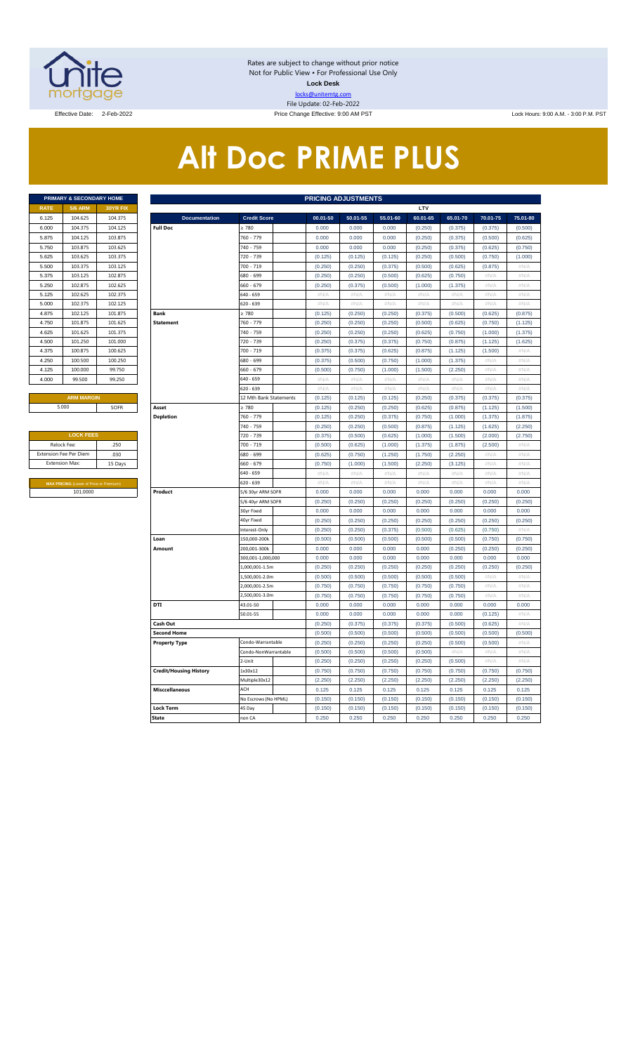

Rates are subject to change without prior notice Not for Public View • For Professional Use Only **Lock Desk** locks@unitemtg.com File Update: 02-Feb-2022

Effective Date: 2-Feb-2022 **Price Change Effective: 9:00 AM PST** Lock Hours: 9:00 A.M. - 3:00 P.M. PST

# **Alt Doc PRIME PLUS**

|             | PRIMARY & SECONDARY HOME |                 |
|-------------|--------------------------|-----------------|
| <b>RATE</b> | <b>5/6 ARM</b>           | <b>30YR FIX</b> |
| 6.125       | 104.625                  | 104.375         |
| 6.000       | 104.375                  | 104.125         |
| 5.875       | 104.125                  | 103.875         |
| 5.750       | 103.875                  | 103.625         |
| 5.625       | 103.625                  | 103.375         |
| 5.500       | 103.375                  | 103.125         |
| 5.375       | 103.125                  | 102.875         |
| 5.250       | 102.875                  | 102.625         |
| 5.125       | 102.625                  | 102.375         |
| 5.000       | 102.375                  | 102.125         |
| 4.875       | 102.125                  | 101.875         |
| 4.750       | 101.875                  | 101.625         |
| 4.625       | 101.625                  | 101.375         |
| 4.500       | 101.250                  | 101.000         |
| 4.375       | 100.875                  | 100.625         |
| 4.250       | 100.500                  | 100.250         |
| 4.125       | 100.000                  | 99.750          |
| 4.000       | 99.500                   | 99.250          |
|             |                          |                 |

| <b>LOCK FEES</b>                               |         |
|------------------------------------------------|---------|
| Relock Fee:                                    | .250    |
| <b>Extension Fee Per Diem</b>                  | .030    |
| <b>Extension Max:</b>                          | 15 Days |
|                                                |         |
| <b>MAX PRICING (Lower of Price or Premium)</b> |         |
| 101.0000                                       |         |

|                     | PRIMARY & SECONDARY HOME                       |          | <b>PRICING ADJUSTMENTS</b>    |                        |              |             |             |          |             |          |                     |  |  |  |  |
|---------------------|------------------------------------------------|----------|-------------------------------|------------------------|--------------|-------------|-------------|----------|-------------|----------|---------------------|--|--|--|--|
| <b>RATE</b>         | <b>5/6 ARM</b>                                 | 30YR FIX |                               |                        |              |             |             | LTV      |             |          |                     |  |  |  |  |
| 6.125               | 104.625                                        | 104.375  | <b>Documentation</b>          | <b>Credit Score</b>    | $00.01 - 50$ | 50.01-55    | 55.01-60    | 60.01-65 | 65.01-70    | 70.01-75 | 75.01-80            |  |  |  |  |
| 6.000               | 104.375                                        | 104.125  | <b>Full Doc</b>               | 2780                   | 0.000        | 0.000       | 0.000       | (0.250)  | (0.375)     | (0.375)  | (0.500)             |  |  |  |  |
| 5.875               | 104.125                                        | 103.875  |                               | 760 - 779              | 0.000        | 0.000       | 0.000       | (0.250)  | (0.375)     | (0.500)  | (0.625)             |  |  |  |  |
| 5.750               | 103.875                                        | 103.625  |                               | 740 - 759              | 0.000        | 0.000       | 0.000       | (0.250)  | (0.375)     | (0.625)  | (0.750)             |  |  |  |  |
| 5.625               | 103.625                                        | 103.375  |                               | 720 - 739              | (0.125)      | (0.125)     | (0.125)     | (0.250)  | (0.500)     | (0.750)  | (1.000)             |  |  |  |  |
| 5.500               | 103.375                                        | 103.125  |                               | 700 - 719              | (0.250)      | (0.250)     | (0.375)     | (0.500)  | (0.625)     | (0.875)  | $\#\mathsf{N}/\ell$ |  |  |  |  |
| 5.375               | 103.125                                        | 102.875  |                               | 680 - 699              | (0.250)      | (0.250)     | (0.500)     | (0.625)  | (0.750)     | $\#N/A$  | $\#N/A$             |  |  |  |  |
| 5.250               | 102.875                                        | 102.625  |                               | 660 - 679              | (0.250)      | (0.375)     | (0.500)     | (1.000)  | (1.375)     | #N/A     | $\#N/A$             |  |  |  |  |
| 5.125               | 102.625                                        | 102.375  |                               | 540 - 659              | #N/A         | #N/A        | #N/A        | $\#N/A$  | #N/A        | # $N/A$  | #N/A                |  |  |  |  |
| 5.000               | 102.375                                        | 102.125  |                               | 620 - 639              | #N/A         | #N/A        | #N/A        | #N/A     | #N/A        | #N/A     | #N/A                |  |  |  |  |
| 4.875               | 102.125                                        | 101.875  | <b>Bank</b>                   | $\geq 780$             | (0.125)      | (0.250)     | (0.250)     | (0.375)  | (0.500)     | (0.625)  | (0.875)             |  |  |  |  |
| 4.750               | 101.875                                        | 101.625  | <b>Statement</b>              | 760 - 779              | (0.250)      | (0.250)     | (0.250)     | (0.500)  | (0.625)     | (0.750)  | (1.125)             |  |  |  |  |
| 4.625               | 101.625                                        | 101.375  |                               | 740 - 759              | (0.250)      | (0.250)     | (0.250)     | (0.625)  | (0.750)     | (1.000)  | (1.375)             |  |  |  |  |
| 4.500               | 101.250                                        | 101.000  |                               | 720 - 739              | (0.250)      | (0.375)     | (0.375)     | (0.750)  | (0.875)     | (1.125)  | (1.625)             |  |  |  |  |
| 4.375               | 100.875                                        | 100.625  |                               | 700 - 719              | (0.375)      | (0.375)     | (0.625)     | (0.875)  | (1.125)     | (1.500)  | #N/A                |  |  |  |  |
| 4.250               | 100.500                                        | 100.250  |                               | 680 - 699              | (0.375)      | (0.500)     | (0.750)     | (1.000)  | (1.375)     | #N/A     | #N/A                |  |  |  |  |
| 4.125               | 100.000                                        | 99.750   |                               | 660 - 679              | (0.500)      | (0.750)     | (1.000)     | (1.500)  | (2.250)     | # $N/A$  | #N/A                |  |  |  |  |
| 4.000               | 99.500                                         | 99.250   |                               | 640 - 659              | $\#N/A$      | #N/A        | #N/A        | #N/A     | #N/A        | #N/A     | #N/A                |  |  |  |  |
|                     |                                                |          |                               | 520 - 639              | $\#N/A$      | #N/A        | #N/A        | $\#N/A$  | #N/A        | #N/A     | $\#N/A$             |  |  |  |  |
|                     | <b>ARM MARGIN</b>                              |          |                               | 12 Mth Bank Statements | (0.125)      | (0.125)     | (0.125)     | (0.250)  | (0.375)     | (0.375)  | (0.375)             |  |  |  |  |
|                     | 5.000                                          | SOFR     | Asset                         | $\geq 780$             | (0.125)      | (0.250)     | (0.250)     | (0.625)  | (0.875)     | (1.125)  | (1.500)             |  |  |  |  |
|                     |                                                |          | <b>Depletion</b>              | 760 - 779              | (0.125)      | (0.250)     | (0.375)     | (0.750)  | (1.000)     | (1.375)  | (1.875)             |  |  |  |  |
|                     |                                                |          |                               | 740 - 759              | (0.250)      | (0.250)     | (0.500)     | (0.875)  | (1.125)     | (1.625)  | (2.250)             |  |  |  |  |
|                     | <b>LOCK FEES</b>                               |          |                               | 720 - 739              | (0.375)      | (0.500)     | (0.625)     | (1.000)  | (1.500)     | (2.000)  | (2.750)             |  |  |  |  |
| Relock Fee:<br>.250 |                                                |          |                               | 700 - 719              | (0.500)      | (0.625)     | (1.000)     | (1.375)  | (1.875)     | (2.500)  | $\#N/A$             |  |  |  |  |
|                     | xtension Fee Per Diem                          | .030     |                               | 680 - 699              | (0.625)      | (0.750)     | (1.250)     | (1.750)  | (2.250)     | #N/A     | #N/A                |  |  |  |  |
|                     | <b>Extension Max:</b>                          | 15 Days  |                               | 660 - 679              | (0.750)      | (1.000)     | (1.500)     | (2.250)  | (3.125)     | #N/A     | #N/A                |  |  |  |  |
|                     |                                                |          |                               | 640 - 659              | #N/A         | #N/A        | #N/A        | #N/A     | #N/A        | #N/A     | #N/A                |  |  |  |  |
|                     | <b>MAX PRICING (Lower of Price or Premium)</b> |          |                               | 620 - 639              | $\#N/A$      | $\#N/\beta$ | $\#N/\beta$ | $\#N/A$  | $\#N/\beta$ | #N/A     | $\#N/\beta$         |  |  |  |  |
|                     | 101.0000                                       |          | Product                       | 5/6 30yr ARM SOFR      | 0.000        | 0.000       | 0.000       | 0.000    | 0.000       | 0.000    | 0.000               |  |  |  |  |
|                     |                                                |          |                               | 5/6 40yr ARM SOFR      | (0.250)      | (0.250)     | (0.250)     | (0.250)  | (0.250)     | (0.250)  | (0.250)             |  |  |  |  |
|                     |                                                |          |                               | 30yr Fixed             | 0.000        | 0.000       | 0.000       | 0.000    | 0.000       | 0.000    | 0.000               |  |  |  |  |
|                     |                                                |          |                               | 40yr Fixed             | (0.250)      | (0.250)     | (0.250)     | (0.250)  | (0.250)     | (0.250)  | (0.250)             |  |  |  |  |
|                     |                                                |          |                               | nterest-Only           | (0.250)      | (0.250)     | (0.375)     | (0.500)  | (0.625)     | (0.750)  | #N//                |  |  |  |  |
|                     |                                                |          | Loan                          | 150,000-200k           | (0.500)      | (0.500)     | (0.500)     | (0.500)  | (0.500)     | (0.750)  | (0.750)             |  |  |  |  |
|                     |                                                |          | Amount                        | 200,001-300k           | 0.000        | 0.000       | 0.000       | 0.000    | (0.250)     | (0.250)  | (0.250)             |  |  |  |  |
|                     |                                                |          |                               | 300,001-1,000,000      | 0.000        | 0.000       | 0.000       | 0.000    | 0.000       | 0.000    | 0.000               |  |  |  |  |
|                     |                                                |          |                               | 1,000,001-1.5m         | (0.250)      | (0.250)     | (0.250)     | (0.250)  | (0.250)     | (0.250)  | (0.250)             |  |  |  |  |
|                     |                                                |          |                               | .,500,001-2.0m         | (0.500)      | (0.500)     | (0.500)     | (0.500)  | (0.500)     | #N/A     | #N/A                |  |  |  |  |
|                     |                                                |          |                               | 2,000,001-2.5m         | (0.750)      | (0.750)     | (0.750)     | (0.750)  | (0.750)     | #N/A     | #N/A                |  |  |  |  |
|                     |                                                |          |                               | 2,500,001-3.0m         | (0.750)      | (0.750)     | (0.750)     | (0.750)  | (0.750)     | #N/A     | #N/A                |  |  |  |  |
|                     |                                                |          | DTI                           | 43.01-50               | 0.000        | 0.000       | 0.000       | 0.000    | 0.000       | 0.000    | 0.000               |  |  |  |  |
|                     |                                                |          |                               | 50.01-55               | 0.000        | 0.000       | 0.000       | 0.000    | 0.000       | (0.125)  | #N/A                |  |  |  |  |
|                     |                                                |          | Cash Out                      |                        | (0.250)      | (0.375)     | (0.375)     | (0.375)  | (0.500)     | (0.625)  | #N/A                |  |  |  |  |
|                     |                                                |          | <b>Second Home</b>            |                        | (0.500)      | (0.500)     | (0.500)     | (0.500)  | (0.500)     | (0.500)  | (0.500)             |  |  |  |  |
|                     |                                                |          | <b>Property Type</b>          | Condo-Warrantable      | (0.250)      | (0.250)     | (0.250)     | (0.250)  | (0.500)     | (0.500)  | #N/A                |  |  |  |  |
|                     |                                                |          |                               | Condo-NonWarrantable   | (0.500)      | (0.500)     | (0.500)     | (0.500)  | #N/A        | #N/A     | #N/A                |  |  |  |  |
|                     |                                                |          |                               | 2-Unit                 | (0.250)      | (0.250)     | (0.250)     | (0.250)  | (0.500)     | # $N/A$  | #N/A                |  |  |  |  |
|                     |                                                |          | <b>Credit/Housing History</b> | 1x30x12                | (0.750)      | (0.750)     | (0.750)     | (0.750)  | (0.750)     | (0.750)  | (0.750)             |  |  |  |  |
|                     |                                                |          |                               | Multiple30x12          | (2.250)      | (2.250)     | (2.250)     | (2.250)  | (2.250)     | (2.250)  | (2.250)             |  |  |  |  |
|                     |                                                |          | <b>Misccellaneous</b>         | ACH                    | 0.125        | 0.125       | 0.125       | 0.125    | 0.125       | 0.125    | 0.125               |  |  |  |  |
|                     |                                                |          |                               | No Escrows (No HPML)   | (0.150)      | (0.150)     | (0.150)     | (0.150)  | (0.150)     | (0.150)  | (0.150)             |  |  |  |  |
|                     |                                                |          | <b>Lock Term</b>              | 45 Day                 | (0.150)      | (0.150)     | (0.150)     | (0.150)  | (0.150)     | (0.150)  | (0.150)             |  |  |  |  |
|                     |                                                |          | <b>State</b>                  | non CA                 | 0.250        | 0.250       | 0.250       | 0.250    | 0.250       | 0.250    | 0.250               |  |  |  |  |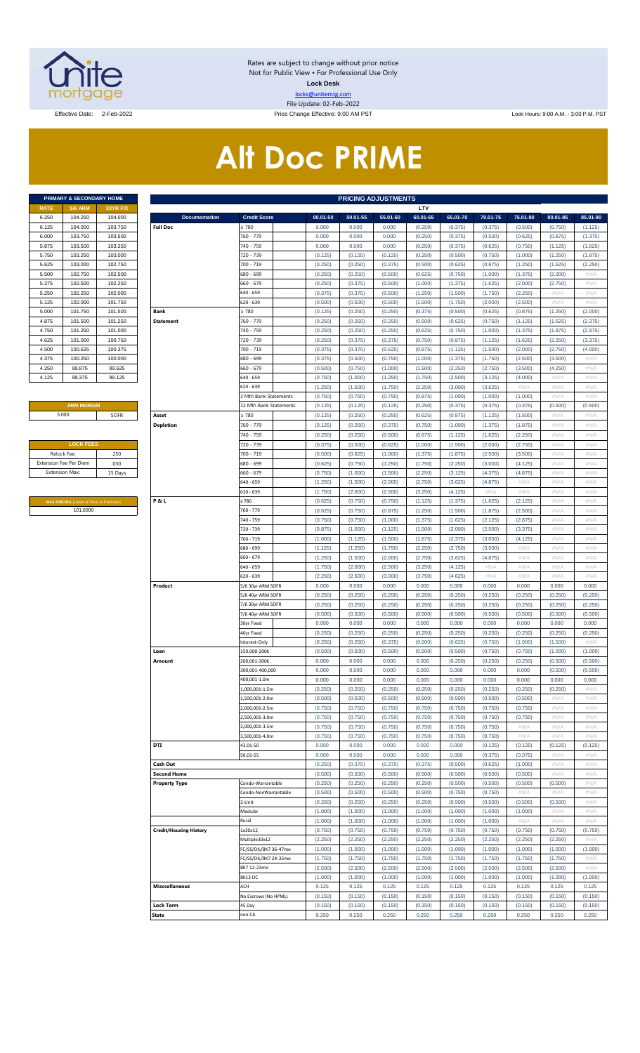

Rates are subject to change without prior notice Not for Public View • For Professional Use Only **Lock Desk** locks@unitemtg.com File Update: 02-Feb-2022

Effective Date: 2-Feb-2022 2000 A.M. - 3:00 Price Change Effective: 9:00 AM PST Lock Hours: 9:00 A.M. - 3:00 P.M. PST

# **Alt Doc PRIME**

|             | PRIMARY & SECONDARY HOME |                 |
|-------------|--------------------------|-----------------|
| <b>RATE</b> | <b>5/6 ARM</b>           | <b>30YR FIX</b> |
| 6.250       | 104.250                  | 104.000         |
| 6.125       | 104.000                  | 103.750         |
| 6.000       | 103.750                  | 103.500         |
| 5.875       | 103.500                  | 103.250         |
| 5.750       | 103.250                  | 103.000         |
| 5.625       | 103.000                  | 102.750         |
| 5.500       | 102.750                  | 102.500         |
| 5.375       | 102.500                  | 102.250         |
| 5.250       | 102.250                  | 102.000         |
| 5.125       | 102.000                  | 101.750         |
| 5.000       | 101.750                  | 101.500         |
| 4.875       | 101.500                  | 101.250         |
| 4.750       | 101.250                  | 101.000         |
| 4.625       | 101.000                  | 100.750         |
| 4.500       | 100.625                  | 100.375         |
| 4.375       | 100.250                  | 100.000         |
| 4.250       | 99.875                   | 99.625          |
| 4.125       | 99.375                   | 99.125          |

### **ARM MARGIN** 5.000

| <b>LOCK FEES</b>              |         |
|-------------------------------|---------|
| Relock Fee:                   | .250    |
| <b>Extension Fee Per Diem</b> | .030    |
| <b>Extension Max:</b>         | 15 Days |
|                               |         |

**MAX PRICING** (Lower of Price or Premium) 101.0000

|                       | PRIMARY & SECONDARY HOME                |          | <b>PRICING ADJUSTMENTS</b>    |                            |          |          |          |          |          |          |          |          |          |  |
|-----------------------|-----------------------------------------|----------|-------------------------------|----------------------------|----------|----------|----------|----------|----------|----------|----------|----------|----------|--|
| RATE                  | <b>5/6 ARM</b>                          | 30YR FIX |                               |                            |          |          |          | LTV      |          |          |          |          |          |  |
| 6.250                 | 104.250                                 | 104.000  | <b>Documentation</b>          | <b>Credit Score</b>        | 00.01-50 | 50.01-55 | 55.01-60 | 60.01-65 | 65.01-70 | 70.01-75 | 75.01-80 | 80.01-85 | 85.01-90 |  |
| 6.125                 | 104.000                                 | 103.750  | <b>Full Doc</b>               | 2780                       | 0.000    | 0.000    | 0.000    | (0.250)  | (0.375)  | (0.375)  | (0.500)  | (0.750)  | (1.125)  |  |
| 6.000                 | 103.750                                 | 103.500  |                               | 760 - 779                  | 0.000    | 0.000    | 0.000    | (0.250)  | (0.375)  | (0.500)  | (0.625)  | (0.875)  | (1.375)  |  |
| 5.875                 | 103.500                                 | 103.250  |                               | 740 - 759                  | 0.000    | 0.000    | 0.000    | (0.250)  | (0.375)  | (0.625)  | (0.750)  | (1.125)  | (1.625)  |  |
| 5.750                 | 103.250                                 | 103.000  |                               | 720 - 739                  | (0.125)  | (0.125)  | (0.125)  | (0.250)  | (0.500)  | (0.750)  | (1.000)  | (1.250)  | (1.875)  |  |
| 5.625                 | 103.000                                 | 102.750  |                               | 700 - 719                  | (0.250)  | (0.250)  | (0.375)  | (0.500)  | (0.625)  | (0.875)  | (1.250)  | (1.625)  | (2.250)  |  |
| 5.500                 | 102.750                                 | 102.500  |                               | 680 - 699                  | (0.250)  | (0.250)  | (0.500)  | (0.625)  | (0.750)  | (1.000)  | (1.375)  | (2.000)  | #N/A     |  |
| 5.375                 | 102.500                                 | 102.250  |                               | 660 - 679                  | (0.250)  | (0.375)  | (0.500)  | (1.000)  | (1.375)  | (1.625)  | (2.000)  | (2.750)  | #N/A     |  |
| 5.250                 | 102.250                                 | 102.000  |                               | 640 - 659                  | (0.375)  | (0.375)  | (0.500)  | (1.250)  | (1.500)  | (1.750)  | (2.250)  | #N/A     | #N/A     |  |
| 5.125                 | 102.000                                 | 101.750  |                               | 520 - 639                  | (0.500)  | (0.500)  | (0.500)  | (1.500)  | (1.750)  | (2.000)  | (2.500)  | #N/A     | #N/A     |  |
| 5.000                 | 101.750                                 | 101.500  | Bank                          | > 780                      | (0.125)  | (0.250)  | (0.250)  | (0.375)  | (0.500)  | (0.625)  | (0.875)  | (1.250)  | (2.000)  |  |
| 4.875                 | 101.500                                 | 101.250  | <b>Statement</b>              | 760 - 779                  | (0.250)  | (0.250)  | (0.250)  | (0.500)  | (0.625)  | (0.750)  | (1.125)  | (1.625)  | (2.375)  |  |
|                       |                                         |          |                               |                            |          |          |          |          |          |          |          |          |          |  |
| 4.750                 | 101.250                                 | 101.000  |                               | 740 - 759                  | (0.250)  | (0.250)  | (0.250)  | (0.625)  | (0.750)  | (1.000)  | (1.375)  | (1.875)  | (2.875)  |  |
| 4.625                 | 101.000                                 | 100.750  |                               | 720 - 739                  | (0.250)  | (0.375)  | (0.375)  | (0.750)  | (0.875)  | (1.125)  | (1.625)  | (2.250)  | (3.375)  |  |
| 4.500                 | 100.625                                 | 100.375  |                               | 700 - 719                  | (0.375)  | (0.375)  | (0.625)  | (0.875)  | (1.125)  | (1.500)  | (2.000)  | (2.750)  | (4.000)  |  |
| 4.375                 | 100.250                                 | 100.000  |                               | 680 - 699                  | (0.375)  | (0.500)  | (0.750)  | (1.000)  | (1.375)  | (1.750)  | (2.500)  | (3.500)  | #N/A     |  |
| 4.250                 | 99.875                                  | 99.625   |                               | 660 - 679                  | (0.500)  | (0.750)  | (1.000)  | (1.500)  | (2.250)  | (2.750)  | (3.500)  | (4.250)  | #N/A     |  |
| 4.125                 | 99.375                                  | 99.125   |                               | 540 - 659                  | (0.750)  | (1.000)  | (1.250)  | (1.750)  | (2.500)  | (3.125)  | (4.000)  | #N/A     | #N/A     |  |
|                       |                                         |          |                               | 620 - 639                  | (1.250)  | (1.500)  | (1.750)  | (2.250)  | (3.000)  | (3.625)  | #N/A     | #N/A     | #N/A     |  |
|                       |                                         |          |                               | <b>Mth Bank Statements</b> | (0.750)  | (0.750)  | (0.750)  | (0.875)  | (1.000)  | (1.000)  | (1.000)  | #N/A     | #N/A     |  |
|                       | <b>ARM MARGIN</b>                       |          |                               | 12 Mth Bank Statements     | (0.125)  | (0.125)  | (0.125)  | (0.250)  | (0.375)  | (0.375)  | (0.375)  | (0.500)  | (0.500)  |  |
| 5.000                 |                                         | SOFR     | Asset                         | 2780                       | (0.125)  | (0.250)  | (0.250)  | (0.625)  | (0.875)  | (1.125)  | (1.500)  | #N/A     | #N/A     |  |
|                       |                                         |          | <b>Depletion</b>              | 760 - 779                  | (0.125)  | (0.250)  | (0.375)  | (0.750)  | (1.000)  | (1.375)  | (1.875)  | #N/A     | #N/A     |  |
|                       |                                         |          |                               |                            |          |          |          |          |          |          |          | #N/A     |          |  |
|                       |                                         |          |                               | 740 - 759                  | (0.250)  | (0.250)  | (0.500)  | (0.875)  | (1.125)  | (1.625)  | (2.250)  |          | #N/A     |  |
|                       | <b>LOCK FEES</b>                        |          |                               | 720 - 739                  | (0.375)  | (0.500)  | (0.625)  | (1.000)  | (1.500)  | (2.000)  | (2.750)  | #N/A     | #N/A     |  |
| Relock Fee:           |                                         | .250     |                               | 700 - 719                  | (0.500)  | (0.625)  | (1.000)  | (1.375)  | (1.875)  | (2.500)  | (3.500)  | #N/A     | #N/A     |  |
|                       | xtension Fee Per Diem                   | .030     |                               | 680 - 699                  | (0.625)  | (0.750)  | (1.250)  | (1.750)  | (2.250)  | (3.000)  | (4.125)  | #N/A     | #N/A     |  |
| <b>Extension Max:</b> |                                         | 15 Days  |                               | 660 - 679                  | (0.750)  | (1.000)  | (1.500)  | (2.250)  | (3.125)  | (4.375)  | (4.875)  | #N/A     | #N/A     |  |
|                       |                                         |          |                               | 640 - 659                  | (1.250)  | (1.500)  | (2.000)  | (2.750)  | (3.625)  | (4.875)  | #N/A     | #N/A     | #N/A     |  |
|                       |                                         |          |                               | 620 - 639                  | (1.750)  | (2.000)  | (2.500)  | (3.250)  | (4.125)  | #N/A     | #N/A     | #N/A     | #N/A     |  |
|                       | MAX PRICING (Lower of Price or Premium) |          | P&L                           | 2780                       | (0.625)  | (0.750)  | (0.750)  | (1.125)  | (1.375)  | (1.625)  | (2.125)  | #N/A     | #N/A     |  |
|                       | 101.0000                                |          |                               | 760 - 779                  | (0.625)  | (0.750)  | (0.875)  | (1.250)  | (1.500)  | (1.875)  | (2.500)  | #N/A     | #N/A     |  |
|                       |                                         |          |                               | 740 - 759                  | (0.750)  | (0.750)  | (1.000)  | (1.375)  | (1.625)  | (2.125)  | (2.875)  | #N/A     | #N/A     |  |
|                       |                                         |          |                               | 720 - 739                  | (0.875)  | (1.000)  | (1.125)  | (1.500)  | (2.000)  | (2.500)  | (3.375)  | #N/A     | #N/A     |  |
|                       |                                         |          |                               | 700 - 719                  | (1.000)  | (1.125)  | (1.500)  | (1.875)  | (2.375)  | (3.000)  | (4.125)  | #N/A     | #N/A     |  |
|                       |                                         |          |                               | 680 - 699                  | (1.125)  | (1.250)  | (1.750)  | (2.250)  | (2.750)  | (3.500)  | #N/A     | #N/A     | #N/A     |  |
|                       |                                         |          |                               | $660 - 679$                | (1.250)  | (1.500)  | (2.000)  | (2.750)  | (3.625)  | (4.875)  | #N/A     | #N/A     | #N/A     |  |
|                       |                                         |          |                               | $640 - 659$                | (1.750)  | (2.000)  | (2.500)  | (3.250)  | (4.125)  | #N/A     | #N/A     | #N/A     | #N/A     |  |
|                       |                                         |          |                               |                            |          |          |          |          |          |          |          |          |          |  |
|                       |                                         |          |                               | 620 - 639                  | (2.250)  | (2.500)  | (3.000)  | (3.750)  | (4.625)  | #N/A     | #N/A     | #N/A     | #N/A     |  |
|                       |                                         |          | Product                       | 5/6 30yr ARM SOFR          | 0.000    | 0.000    | 0.000    | 0.000    | 0.000    | 0.000    | 0.000    | 0.000    | 0.000    |  |
|                       |                                         |          |                               | 5/6 40yr ARM SOFR          | (0.250)  | (0.250)  | (0.250)  | (0.250)  | (0.250)  | (0.250)  | (0.250)  | (0.250)  | (0.250)  |  |
|                       |                                         |          |                               | 7/6 30yr ARM SOFR          | (0.250)  | (0.250)  | (0.250)  | (0.250)  | (0.250)  | (0.250)  | (0.250)  | (0.250)  | (0.250)  |  |
|                       |                                         |          |                               | 7/6 40yr ARM SOFR          | (0.500)  | (0.500)  | (0.500)  | (0.500)  | (0.500)  | (0.500)  | (0.500)  | (0.500)  | (0.500)  |  |
|                       |                                         |          |                               | 30yr Fixed                 | 0.000    | 0.000    | 0.000    | 0.000    | 0.000    | 0.000    | 0.000    | 0.000    | 0.000    |  |
|                       |                                         |          |                               | 40yr Fixed                 | (0.250)  | (0.250)  | (0.250)  | (0.250)  | (0.250)  | (0.250)  | (0.250)  | (0.250)  | (0.250)  |  |
|                       |                                         |          |                               | nterest-Only               | (0.250)  | (0.250)  | (0.375)  | (0.500)  | (0.625)  | (0.750)  | (1.000)  | (1.500)  | #N/A     |  |
|                       |                                         |          | Loan                          | 150,000-200k               | (0.500)  | (0.500)  | (0.500)  | (0.500)  | (0.500)  | (0.750)  | (0.750)  | (1.000)  | (1.000)  |  |
|                       |                                         |          | Amount                        | 200,001-300k               | 0.000    | 0.000    | 0.000    | 0.000    | (0.250)  | (0.250)  | (0.250)  | (0.500)  | (0.500)  |  |
|                       |                                         |          |                               | 300,001-400,000            | 0.000    | 0.000    | 0.000    | 0.000    | 0.000    | 0.000    | 0.000    | (0.500)  | (0.500)  |  |
|                       |                                         |          |                               | 400,001-1.0m               | 0.000    | 0.000    | 0.000    | 0.000    | 0.000    | 0.000    | 0.000    | 0.000    | 0.000    |  |
|                       |                                         |          |                               | .000,001-1.5m              | (0.250)  | (0.250)  | (0.250)  | (0.250)  | (0.250)  | (0.250)  | (0.250)  | (0.250)  | #N/A     |  |
|                       |                                         |          |                               | ,500,001-2.0m              | (0.500)  | (0.500)  | (0.500)  | (0.500)  | (0.500)  | (0.500)  | (0.500)  | #N/A     | #N/A     |  |
|                       |                                         |          |                               | 2,000,001-2.5m             | (0.750)  | (0.750)  | (0.750)  | (0.750)  | (0.750)  | (0.750)  | (0.750)  | #N/A     | #N/A     |  |
|                       |                                         |          |                               |                            |          |          |          |          |          |          |          |          |          |  |
|                       |                                         |          |                               | ,500,001-3.0m              | (0.750)  | (0.750)  | (0.750)  | (0.750)  | (0.750)  | (0.750)  | (0.750)  | #N/A     | #N/A     |  |
|                       |                                         |          |                               | 3,000,001-3.5m             | (0.750)  | (0.750)  | (0.750)  | (0.750)  | (0.750)  | (0.750)  | $\#N/A$  | #N/A     | #N/A     |  |
|                       |                                         |          |                               | ,500,001-4.0m              | (0.750)  | (0.750)  | (0.750)  | (0.750)  | (0.750)  | (0.750)  | #N/A     | #N/A     | #N/A     |  |
|                       |                                         |          | DTI                           | 43.01-50                   | 0.000    | 0.000    | 0.000    | 0.000    | 0.000    | (0.125)  | (0.125)  | (0.125)  | (0.125)  |  |
|                       |                                         |          |                               | 50.01-55                   | 0.000    | 0.000    | 0.000    | 0.000    | 0.000    | (0.375)  | (0.375)  | #N/A     | #N/A     |  |
|                       |                                         |          | Cash Out                      |                            | (0.250)  | (0.375)  | (0.375)  | (0.375)  | (0.500)  | (0.625)  | (1.000)  | #N/A     | #N/A     |  |
|                       |                                         |          | <b>Second Home</b>            |                            | (0.500)  | (0.500)  | (0.500)  | (0.500)  | (0.500)  | (0.500)  | (0.500)  | #N/A     | #N/A     |  |
|                       |                                         |          | <b>Property Type</b>          | Condo-Warrantable          | (0.250)  | (0.250)  | (0.250)  | (0.250)  | (0.500)  | (0.500)  | (0.500)  | (0.500)  | #N/A     |  |
|                       |                                         |          |                               | Condo-NonWarrantable       | (0.500)  | (0.500)  | (0.500)  | (0.500)  | (0.750)  | (0.750)  | #N/A     | #N/A     | #N/A     |  |
|                       |                                         |          |                               | 2-Unit                     | (0.250)  | (0.250)  | (0.250)  | (0.250)  | (0.500)  | (0.500)  | (0.500)  | (0.500)  | #N/A     |  |
|                       |                                         |          |                               | Modular                    | (1.000)  | (1.000)  | (1.000)  | (1.000)  | (1.000)  | (1.000)  | (1.000)  | #N/A     | #N/A     |  |
|                       |                                         |          |                               | Rural                      | (1.000)  | (1.000)  | (1.000)  | (1.000)  | (1.000)  | (1.000)  | #N/A     | #N/A     | #N/A     |  |
|                       |                                         |          | <b>Credit/Housing History</b> | 1x30x12                    | (0.750)  | (0.750)  | (0.750)  | (0.750)  | (0.750)  | (0.750)  | (0.750)  | (0.750)  | (0.750)  |  |
|                       |                                         |          |                               | Multiple30x12              | (2.250)  | (2.250)  | (2.250)  | (2.250)  | (2.250)  | (2.250)  | (2.250)  | (2.250)  | #N/A     |  |
|                       |                                         |          |                               |                            |          |          |          |          |          |          |          |          |          |  |
|                       |                                         |          |                               | FC/SS/DIL/BK7 36-47mo      | (1.000)  | (1.000)  | (1.000)  | (1.000)  | (1.000)  | (1.000)  | (1.000)  | (1.000)  | (1.000)  |  |
|                       |                                         |          |                               | FC/SS/DIL/BK7 24-35mo      | (1.750)  | (1.750)  | (1.750)  | (1.750)  | (1.750)  | (1.750)  | (1.750)  | (1.750)  | #N/A     |  |
|                       |                                         |          |                               | BK7 12-23mo                | (2.500)  | (2.500)  | (2.500)  | (2.500)  | (2.500)  | (2.500)  | (2.500)  | (2.500)  | #N/A     |  |
|                       |                                         |          |                               | BK13 DC                    | (1.000)  | (1.000)  | (1.000)  | (1.000)  | (1.000)  | (1.000)  | (1.000)  | (1.000)  | (1.000)  |  |
|                       |                                         |          | <b>Misccellaneous</b>         | ACH                        | 0.125    | 0.125    | 0.125    | 0.125    | 0.125    | 0.125    | 0.125    | 0.125    | 0.125    |  |
|                       |                                         |          |                               | No Escrows (No HPML)       | (0.150)  | (0.150)  | (0.150)  | (0.150)  | (0.150)  | (0.150)  | (0.150)  | (0.150)  | (0.150)  |  |
|                       |                                         |          | <b>Lock Term</b>              | 45 Day                     | (0.150)  | (0.150)  | (0.150)  | (0.150)  | (0.150)  | (0.150)  | (0.150)  | (0.150)  | (0.150)  |  |
|                       |                                         |          | State                         | non CA                     | 0.250    | 0.250    | 0.250    | 0.250    | 0.250    | 0.250    | 0.250    | 0.250    | 0.250    |  |
|                       |                                         |          |                               |                            |          |          |          |          |          |          |          |          |          |  |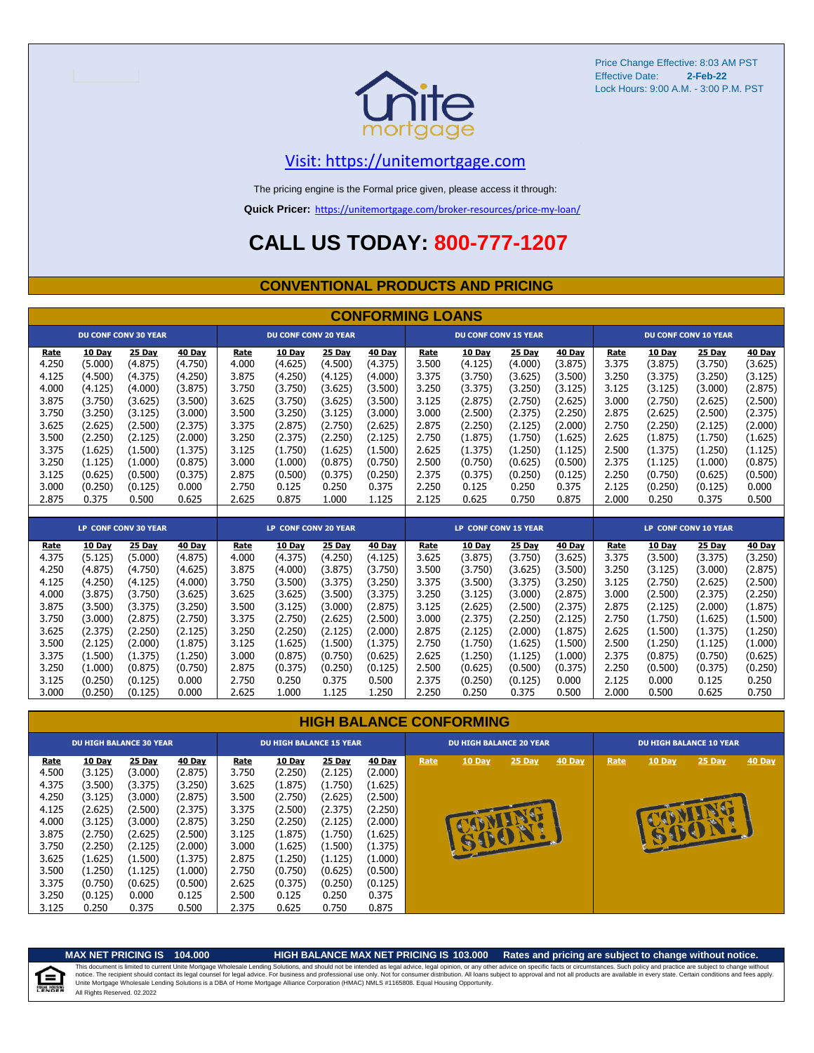

## [V](https://unitemortgage.com/)isit: https://unitemortgage.com

The pricing engine is the Formal price given, please access it through:

**Quick Pricer:** [https://un](https://unitemortgage.com/broker-resources/price-my-loan/)itemortgage.com/broker-resources/price-my-loan/

## **CALL US TODAY: 800-777-1207**

### **CONVENTIONAL PRODUCTS AND PRICING**

|       | <b>CONFORMING LOANS</b> |                             |               |       |                             |         |         |                      |                             |         |         |       |         |                             |         |
|-------|-------------------------|-----------------------------|---------------|-------|-----------------------------|---------|---------|----------------------|-----------------------------|---------|---------|-------|---------|-----------------------------|---------|
|       |                         | <b>DU CONF CONV 30 YEAR</b> |               |       | <b>DU CONF CONV 20 YEAR</b> |         |         |                      | <b>DU CONF CONV 15 YEAR</b> |         |         |       |         | <b>DU CONF CONV 10 YEAR</b> |         |
| Rate  | 10 Day                  | 25 Day                      | 40 Day        | Rate  | 10 Day                      | 25 Day  | 40 Day  | Rate                 | 10 Day                      | 25 Day  | 40 Day  | Rate  | 10 Day  | 25 Day                      | 40 Day  |
| 4.250 | (5.000)                 | (4.875)                     | (4.750)       | 4.000 | (4.625)                     | (4.500) | (4.375) | 3.500                | (4.125)                     | (4.000) | (3.875) | 3.375 | (3.875) | (3.750)                     | (3.625) |
| 4.125 | (4.500)                 | (4.375)                     | (4.250)       | 3.875 | (4.250)                     | (4.125) | (4.000) | 3.375                | (3.750)                     | (3.625) | (3.500) | 3.250 | (3.375) | (3.250)                     | (3.125) |
| 4.000 | (4.125)                 | (4.000)                     | (3.875)       | 3.750 | (3.750)                     | (3.625) | (3.500) | 3.250                | (3.375)                     | (3.250) | (3.125) | 3.125 | (3.125) | (3.000)                     | (2.875) |
| 3.875 | (3.750)                 | (3.625)                     | (3.500)       | 3.625 | (3.750)                     | (3.625) | (3.500) | 3.125                | (2.875)                     | (2.750) | (2.625) | 3.000 | (2.750) | (2.625)                     | (2.500) |
| 3.750 | (3.250)                 | (3.125)                     | (3.000)       | 3.500 | (3.250)                     | (3.125) | (3.000) | 3.000                | (2.500)                     | (2.375) | (2.250) | 2.875 | (2.625) | (2.500)                     | (2.375) |
| 3.625 | (2.625)                 | (2.500)                     | (2.375)       | 3.375 | (2.875)                     | (2.750) | (2.625) | 2.875                | (2.250)                     | (2.125) | (2.000) | 2.750 | (2.250) | (2.125)                     | (2.000) |
| 3.500 | (2.250)                 | (2.125)                     | (2.000)       | 3.250 | (2.375)                     | (2.250) | (2.125) | 2.750                | (1.875)                     | (1.750) | (1.625) | 2.625 | (1.875) | (1.750)                     | (1.625) |
| 3.375 | (1.625)                 | (1.500)                     | (1.375)       | 3.125 | (1.750)                     | (1.625) | (1.500) | 2.625                | (1.375)                     | (1.250) | (1.125) | 2.500 | (1.375) | (1.250)                     | (1.125) |
| 3.250 | (1.125)                 | (1.000)                     | (0.875)       | 3.000 | (1.000)                     | (0.875) | (0.750) | 2.500                | (0.750)                     | (0.625) | (0.500) | 2.375 | (1.125) | (1.000)                     | (0.875) |
| 3.125 | (0.625)                 | (0.500)                     | (0.375)       | 2.875 | (0.500)                     | (0.375) | (0.250) | 2.375                | (0.375)                     | (0.250) | (0.125) | 2.250 | (0.750) | (0.625)                     | (0.500) |
| 3.000 | (0.250)                 | (0.125)                     | 0.000         | 2.750 | 0.125                       | 0.250   | 0.375   | 2.250                | 0.125                       | 0.250   | 0.375   | 2.125 | (0.250) | (0.125)                     | 0.000   |
| 2.875 | 0.375                   | 0.500                       | 0.625         | 2.625 | 0.875                       | 1.000   | 1.125   | 2.125                | 0.625                       | 0.750   | 0.875   | 2.000 | 0.250   | 0.375                       | 0.500   |
|       |                         |                             |               |       |                             |         |         |                      |                             |         |         |       |         |                             |         |
|       |                         | LP CONF CONV 30 YEAR        |               |       | LP CONF CONV 20 YEAR        |         |         | LP CONF CONV 15 YEAR |                             |         |         |       |         | <b>LP CONF CONV 10 YEAR</b> |         |
| Rate  | 10 Day                  | 25 Day                      | <b>40 Day</b> | Rate  | 10 Day                      | 25 Day  | 40 Day  | Rate                 | 10 Day                      | 25 Day  | 40 Day  | Rate  | 10 Day  | 25 Day                      | 40 Day  |
| 4.375 | (5.125)                 | (5.000)                     | (4.875)       | 4.000 | (4.375)                     | (4.250) | (4.125) | 3.625                | (3.875)                     | (3.750) | (3.625) | 3.375 | (3.500) | (3.375)                     | (3.250) |
| 4.250 | (4.875)                 | (4.750)                     | (4.625)       | 3.875 | (4.000)                     | (3.875) | (3.750) | 3.500                | (3.750)                     | (3.625) | (3.500) | 3.250 | (3.125) | (3.000)                     | (2.875) |
| 4.125 | (4.250)                 | (4.125)                     | (4.000)       | 3.750 | (3.500)                     | (3.375) | (3.250) | 3.375                | (3.500)                     | (3.375) | (3.250) | 3.125 | (2.750) | (2.625)                     | (2.500) |
| 4.000 | (3.875)                 | (3.750)                     | (3.625)       | 3.625 | (3.625)                     | (3.500) | (3.375) | 3.250                | (3.125)                     | (3.000) | (2.875) | 3.000 | (2.500) | (2.375)                     | (2.250) |
| 3.875 | (3.500)                 | (3.375)                     | (3.250)       | 3.500 | (3.125)                     | (3.000) | (2.875) | 3.125                | (2.625)                     | (2.500) | (2.375) | 2.875 | (2.125) | (2.000)                     | (1.875) |
| 3.750 | (3.000)                 | (2.875)                     | (2.750)       | 3.375 | (2.750)                     | (2.625) | (2.500) | 3.000                | (2.375)                     | (2.250) | (2.125) | 2.750 | (1.750) | (1.625)                     | (1.500) |
| 3.625 | (2.375)                 | (2.250)                     | (2.125)       | 3.250 | (2.250)                     | (2.125) | (2.000) | 2.875                | (2.125)                     | (2.000) | (1.875) | 2.625 | (1.500) | (1.375)                     | (1.250) |
| 3.500 | (2.125)                 | (2.000)                     | (1.875)       | 3.125 | (1.625)                     | (1.500) | (1.375) | 2.750                | (1.750)                     | (1.625) | (1.500) | 2.500 | (1.250) | (1.125)                     | (1.000) |
| 3.375 | (1.500)                 | (1.375)                     | (1.250)       | 3.000 | (0.875)                     | (0.750) | (0.625) | 2.625                | (1.250)                     | (1.125) | (1.000) | 2.375 | (0.875) | (0.750)                     | (0.625) |
| 3.250 | (1.000)                 | (0.875)                     | (0.750)       | 2.875 | (0.375)                     | (0.250) | (0.125) | 2.500                | (0.625)                     | (0.500) | (0.375) | 2.250 | (0.500) | (0.375)                     | (0.250) |
| 3.125 | (0.250)                 | (0.125)                     | 0.000         | 2.750 | 0.250                       | 0.375   | 0.500   | 2.375                | (0.250)                     | (0.125) | 0.000   | 2.125 | 0.000   | 0.125                       | 0.250   |
| 3.000 | (0.250)                 | (0.125)                     | 0.000         | 2.625 | 1.000                       | 1.125   | 1.250   | 2.250                | 0.250                       | 0.375   | 0.500   | 2.000 | 0.500   | 0.625                       | 0.750   |

### **HIGH BALANCE CONFORMING**

|             | <b>DU HIGH BALANCE 30 YEAR</b> |               |         |             | <b>DU HIGH BALANCE 15 YEAR</b> |               | <b>DU HIGH BALANCE 20 YEAR</b> |      |               | <b>DU HIGH BALANCE 10 YEAR</b> |        |      |               |               |               |
|-------------|--------------------------------|---------------|---------|-------------|--------------------------------|---------------|--------------------------------|------|---------------|--------------------------------|--------|------|---------------|---------------|---------------|
| <b>Rate</b> | <b>10 Day</b>                  | <b>25 Day</b> | 40 Day  | <b>Rate</b> | <b>10 Day</b>                  | <b>25 Day</b> | <b>40 Day</b>                  | Rate | 10 Day        | $25$ Day                       | 40 Day | Rate | <b>10 Day</b> | <b>25 Day</b> | <b>40 Day</b> |
| 4.500       | (3.125)                        | (3.000)       | (2.875) | 3.750       | (2.250)                        | (2.125)       | (2.000)                        |      |               |                                |        |      |               |               |               |
| 4.375       | (3.500)                        | (3.375)       | (3.250) | 3.625       | (1.875)                        | (1.750)       | (1.625)                        |      |               |                                |        |      |               |               |               |
| 4.250       | (3.125)                        | (3.000)       | (2.875) | 3.500       | (2.750)                        | (2.625)       | (2.500)                        |      |               |                                |        |      |               |               |               |
| 4.125       | (2.625)                        | (2.500)       | (2.375) | 3.375       | (2.500)                        | (2.375)       | (2.250)                        |      |               |                                |        |      |               |               |               |
| 4.000       | (3.125)                        | (3.000)       | (2.875) | 3.250       | (2.250)                        | (2.125)       | (2.000)                        |      |               |                                |        |      |               |               |               |
| 3.875       | (2.750)                        | (2.625)       | (2.500) | 3.125       | (1.875)                        | (1.750)       | (1.625)                        |      |               |                                |        |      |               | BE            |               |
| 3.750       | (2.250)                        | (2.125)       | (2.000) | 3.000       | (1.625)                        | (1.500)       | (1.375)                        |      | <b>ALLEDE</b> |                                |        |      |               |               |               |
| 3.625       | (1.625)                        | (1.500)       | (1.375) | 2.875       | (1.250)                        | (1.125)       | (1.000)                        |      |               |                                |        |      |               |               |               |
| 3.500       | (1.250)                        | (1.125)       | (1.000) | 2.750       | (0.750)                        | (0.625)       | (0.500)                        |      |               |                                |        |      |               |               |               |
| 3.375       | (0.750)                        | (0.625)       | (0.500) | 2.625       | (0.375)                        | (0.250)       | (0.125)                        |      |               |                                |        |      |               |               |               |
| 3.250       | (0.125)                        | 0.000         | 0.125   | 2.500       | 0.125                          | 0.250         | 0.375                          |      |               |                                |        |      |               |               |               |
| 3.125       | 0.250                          | 0.375         | 0.500   | 2.375       | 0.625                          | 0.750         | 0.875                          |      |               |                                |        |      |               |               |               |

自

**MAX NET PRICING IS 104.000 HIGH BALANCE MAX NET PRICING IS 103.000 Rates and pricing are subject to change without notice.** All Rights Reserved. 02.2022 This document is limited to current Unite Mortgage Wholesale Lending Solutions, and should not be intended as legal advice, legal opinion, or any other advice on specific facts or circumstances. Such policy and practice ar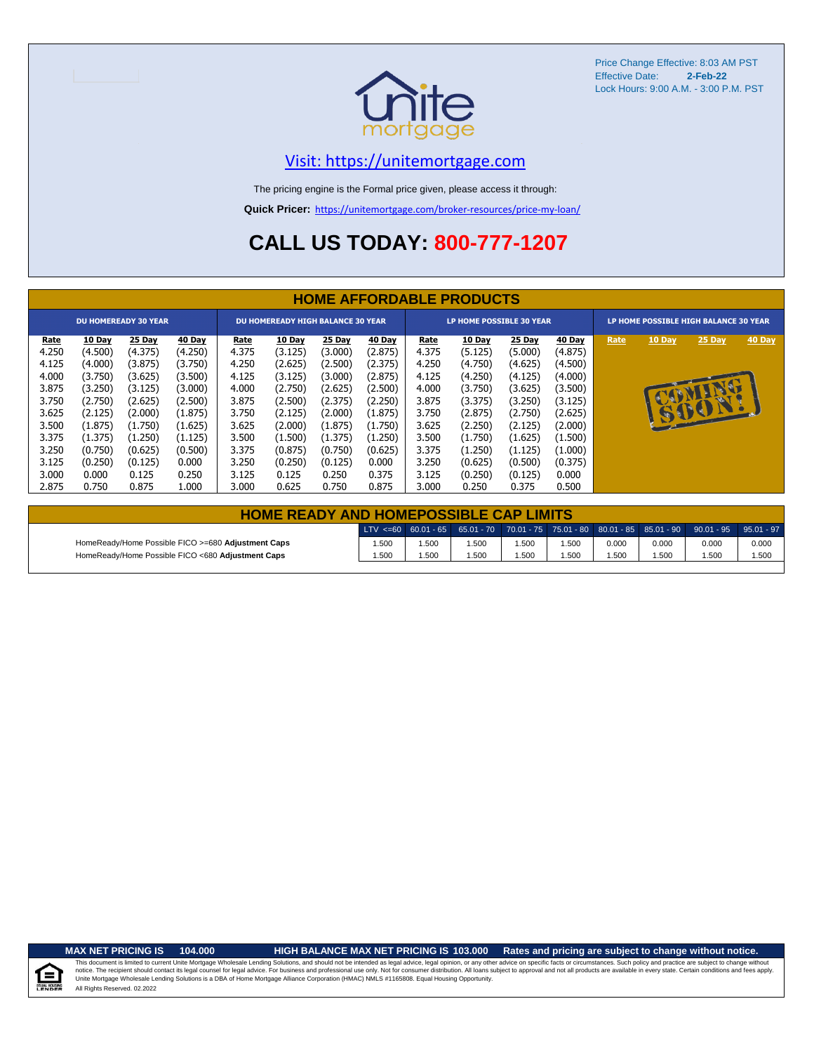

## [V](https://unitemortgage.com/)isit: https://unitemortgage.com

The pricing engine is the Formal price given, please access it through:

**Quick Pricer:** [https://un](https://unitemortgage.com/broker-resources/price-my-loan/)itemortgage.com/broker-resources/price-my-loan/

## **CALL US TODAY: 800-777-1207**

|                                                                                                | <b>HOME AFFORDABLE PRODUCTS</b>                                                                                      |                                                                                                                      |                                                                                                                    |                                                                                                |                                                                                                                      |                                                                                                                      |                                                                                                                           |                                                                                                |                                                                                                                      |                                                                                                                      |                                                                                                                      |                                       |               |                |        |
|------------------------------------------------------------------------------------------------|----------------------------------------------------------------------------------------------------------------------|----------------------------------------------------------------------------------------------------------------------|--------------------------------------------------------------------------------------------------------------------|------------------------------------------------------------------------------------------------|----------------------------------------------------------------------------------------------------------------------|----------------------------------------------------------------------------------------------------------------------|---------------------------------------------------------------------------------------------------------------------------|------------------------------------------------------------------------------------------------|----------------------------------------------------------------------------------------------------------------------|----------------------------------------------------------------------------------------------------------------------|----------------------------------------------------------------------------------------------------------------------|---------------------------------------|---------------|----------------|--------|
|                                                                                                | <b>DU HOMEREADY 30 YEAR</b>                                                                                          |                                                                                                                      |                                                                                                                    |                                                                                                | <b>DU HOMEREADY HIGH BALANCE 30 YEAR</b>                                                                             |                                                                                                                      |                                                                                                                           |                                                                                                | LP HOME POSSIBLE 30 YEAR                                                                                             |                                                                                                                      |                                                                                                                      | LP HOME POSSIBLE HIGH BALANCE 30 YEAR |               |                |        |
| Rate<br>4.250<br>4.125<br>4.000<br>3.875<br>3.750<br>3.625<br>3.500<br>3.375<br>3.250<br>3.125 | 10 Day<br>(4.500)<br>(4.000)<br>(3.750)<br>(3.250)<br>(2.750)<br>(2.125)<br>(1.875)<br>(1.375)<br>(0.750)<br>(0.250) | 25 Day<br>(4.375)<br>(3.875)<br>(3.625)<br>(3.125)<br>(2.625)<br>(2.000)<br>(1.750)<br>(1.250)<br>(0.625)<br>(0.125) | 40 Day<br>(4.250)<br>(3.750)<br>(3.500)<br>(3.000)<br>(2.500)<br>(1.875)<br>(1.625)<br>(1.125)<br>(0.500)<br>0.000 | Rate<br>4.375<br>4.250<br>4.125<br>4.000<br>3.875<br>3.750<br>3.625<br>3.500<br>3.375<br>3.250 | 10 Day<br>(3.125)<br>(2.625)<br>(3.125)<br>(2.750)<br>(2.500)<br>(2.125)<br>(2.000)<br>(1.500)<br>(0.875)<br>(0.250) | 25 Day<br>(3.000)<br>(2.500)<br>(3.000)<br>(2.625)<br>(2.375)<br>(2.000)<br>(1.875)<br>(1.375)<br>(0.750)<br>(0.125) | <b>40 Day</b><br>(2.875)<br>(2.375)<br>(2.875)<br>(2.500)<br>(2.250)<br>(1.875)<br>(1.750)<br>(1.250)<br>(0.625)<br>0.000 | Rate<br>4.375<br>4.250<br>4.125<br>4.000<br>3.875<br>3.750<br>3.625<br>3.500<br>3.375<br>3.250 | 10 Day<br>(5.125)<br>(4.750)<br>(4.250)<br>(3.750)<br>(3.375)<br>(2.875)<br>(2.250)<br>(1.750)<br>(1.250)<br>(0.625) | 25 Day<br>(5.000)<br>(4.625)<br>(4.125)<br>(3.625)<br>(3.250)<br>(2.750)<br>(2.125)<br>(1.625)<br>(1.125)<br>(0.500) | 40 Day<br>(4.875)<br>(4.500)<br>(4.000)<br>(3.500)<br>(3.125)<br>(2.625)<br>(2.000)<br>(1.500)<br>(1.000)<br>(0.375) | Rate                                  | <b>10 Day</b> | 25 Day<br>6001 | 40 Day |
| 3.000<br>2.875                                                                                 | 0.000<br>0.750                                                                                                       | 0.125<br>0.875                                                                                                       | 0.250<br>1.000                                                                                                     | 3.125<br>3.000                                                                                 | 0.125<br>0.625                                                                                                       | 0.250<br>0.750                                                                                                       | 0.375<br>0.875                                                                                                            | 3.125<br>3.000                                                                                 | (0.250)<br>0.250                                                                                                     | (0.125)<br>0.375                                                                                                     | 0.000<br>0.500                                                                                                       |                                       |               |                |        |

| <b>HOME READY AND HOMEPOSSIBLE CAP LIMITS</b>      |       |      |      |      |      |       |       |                                                                                                  |       |  |  |  |  |
|----------------------------------------------------|-------|------|------|------|------|-------|-------|--------------------------------------------------------------------------------------------------|-------|--|--|--|--|
|                                                    |       |      |      |      |      |       |       | LTV <=60 60.01 - 65 65.01 - 70 70.01 - 75 75.01 - 80 80.01 - 85 85.01 - 90 90.01 - 95 95.01 - 97 |       |  |  |  |  |
| HomeReady/Home Possible FICO >=680 Adjustment Caps | .500  | .500 | .500 | .500 | .500 | 0.000 | 0.000 | 0.000                                                                                            | 0.000 |  |  |  |  |
| HomeReady/Home Possible FICO <680 Adjustment Caps  | 1.500 | .500 | .500 | .500 | .500 | .500  | 1.500 | .500                                                                                             | 1.500 |  |  |  |  |

u Hou

### **MAX NET PRICING IS 104.000 HIGH BALANCE MAX NET PRICING IS 103.000 Rates and pricing are subject to change without notice.**

All Rights Reserved. 02.2022 This document is limited to current Unite Mortgage Wholesale Lending Solutions, and should not be intended as legal advice, legal opinion, or any other advice on specific facts or circumstances. Such policy and practice ar notice. The recipient should contact its legal coursel for legal advice. For business and professional use only. Not for consumer distribution. All oans subject to approval and not all products are available in every state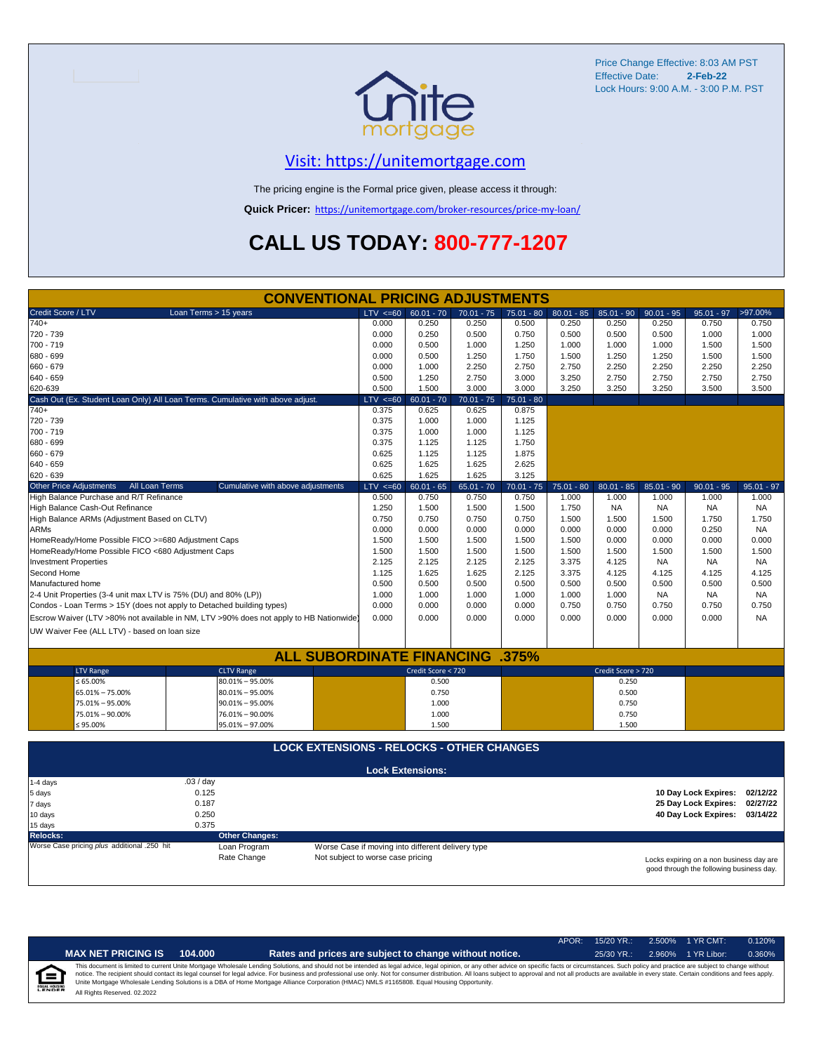

## [V](https://unitemortgage.com/)isit: https://unitemortgage.com

The pricing engine is the Formal price given, please access it through:

**Quick Pricer:** [https://un](https://unitemortgage.com/broker-resources/price-my-loan/)itemortgage.com/broker-resources/price-my-loan/

## **CALL US TODAY: 800-777-1207**

| <b>CONVENTIONAL PRICING ADJUSTMENTS</b>                                                |                                                                               |                                                   |              |              |              |                    |              |                               |              |
|----------------------------------------------------------------------------------------|-------------------------------------------------------------------------------|---------------------------------------------------|--------------|--------------|--------------|--------------------|--------------|-------------------------------|--------------|
| Credit Score / LTV<br>Loan Terms > 15 years                                            | $LTV \le 60$                                                                  | $60.01 - 70$                                      | $70.01 - 75$ | 75.01 - 80   | $80.01 - 85$ | $85.01 - 90$       | $90.01 - 95$ | $95.01 - 97$                  | >97.00%      |
| 740+                                                                                   | 0.000                                                                         | 0.250                                             | 0.250        | 0.500        | 0.250        | 0.250              | 0.250        | 0.750                         | 0.750        |
| 720 - 739                                                                              | 0.000                                                                         | 0.250                                             | 0.500        | 0.750        | 0.500        | 0.500              | 0.500        | 1.000                         | 1.000        |
| 700 - 719                                                                              | 0.000                                                                         | 0.500                                             | 1.000        | 1.250        | 1.000        | 1.000              | 1.000        | 1.500                         | 1.500        |
| 680 - 699                                                                              | 0.000                                                                         | 0.500                                             | 1.250        | 1.750        | 1.500        | 1.250              | 1.250        | 1.500                         | 1.500        |
| 660 - 679                                                                              | 0.000                                                                         | 1.000                                             | 2.250        | 2.750        | 2.750        | 2.250              | 2.250        | 2.250                         | 2.250        |
| 640 - 659                                                                              | 0.500                                                                         | 1.250                                             | 2.750        | 3.000        | 3.250        | 2.750              | 2.750        | 2.750                         | 2.750        |
| 620-639                                                                                | 0.500                                                                         | 1.500                                             | 3.000        | 3.000        | 3.250        | 3.250              | 3.250        | 3.500                         | 3.500        |
| Cash Out (Ex. Student Loan Only) All Loan Terms. Cumulative with above adjust.         | $LTV < =60$                                                                   | $60.01 - 70$                                      | $70.01 - 75$ | $75.01 - 80$ |              |                    |              |                               |              |
| $740+$                                                                                 | 0.375                                                                         | 0.625                                             | 0.625        | 0.875        |              |                    |              |                               |              |
| 720 - 739                                                                              | 0.375                                                                         | 1.000                                             | 1.000        | 1.125        |              |                    |              |                               |              |
| 700 - 719                                                                              | 0.375                                                                         | 1.000                                             | 1.000        | 1.125        |              |                    |              |                               |              |
| 680 - 699                                                                              | 0.375                                                                         | 1.125                                             | 1.125        | 1.750        |              |                    |              |                               |              |
| 660 - 679                                                                              | 0.625                                                                         | 1.125                                             | 1.125        | 1.875        |              |                    |              |                               |              |
| 640 - 659                                                                              | 0.625                                                                         | 1.625                                             | 1.625        | 2.625        |              |                    |              |                               |              |
| 620 - 639                                                                              | 0.625                                                                         | 1.625                                             | 1.625        | 3.125        |              |                    |              |                               |              |
| <b>Other Price Adjustments</b><br>All Loan Terms<br>Cumulative with above adjustments  | $LTV < =60$                                                                   | $60.01 - 65$                                      | $65.01 - 70$ | $70.01 - 75$ | $75.01 - 80$ | $80.01 - 85$       | $85.01 - 90$ | $90.01 - 95$                  | $95.01 - 97$ |
| High Balance Purchase and R/T Refinance                                                | 0.500                                                                         | 0.750                                             | 0.750        | 0.750        | 1.000        | 1.000              | 1.000        | 1.000                         | 1.000        |
| High Balance Cash-Out Refinance                                                        | 1.250                                                                         | 1.500                                             | 1.500        | 1.500        | 1.750        | <b>NA</b>          | <b>NA</b>    | <b>NA</b>                     | <b>NA</b>    |
| High Balance ARMs (Adjustment Based on CLTV)                                           | 0.750                                                                         | 0.750                                             | 0.750        | 0.750        | 1.500        | 1.500              | 1.500        | 1.750                         | 1.750        |
| <b>ARMs</b>                                                                            | 0.000                                                                         | 0.000                                             | 0.000        | 0.000        | 0.000        | 0.000              | 0.000        | 0.250                         | <b>NA</b>    |
| HomeReady/Home Possible FICO >=680 Adjustment Caps                                     | 1.500                                                                         | 1.500                                             | 1.500        | 1.500        | 1.500        | 0.000              | 0.000        | 0.000                         | 0.000        |
| HomeReady/Home Possible FICO <680 Adjustment Caps                                      | 1.500                                                                         | 1.500                                             | 1.500        | 1.500        | 1.500        | 1.500              | 1.500        | 1.500                         | 1.500        |
| <b>Investment Properties</b>                                                           | 2.125                                                                         | 2.125                                             | 2.125        | 2.125        | 3.375        | 4.125              | <b>NA</b>    | <b>NA</b>                     | <b>NA</b>    |
| Second Home                                                                            | 1.125                                                                         | 1.625                                             | 1.625        | 2.125        | 3.375        | 4.125              | 4.125        | 4.125                         | 4.125        |
| Manufactured home                                                                      | 0.500                                                                         | 0.500                                             | 0.500        | 0.500        | 0.500        | 0.500              | 0.500        | 0.500                         | 0.500        |
| 2-4 Unit Properties (3-4 unit max LTV is 75% (DU) and 80% (LP))                        | 1.000                                                                         | 1.000                                             | 1.000        | 1.000        | 1.000        | 1.000              | <b>NA</b>    | <b>NA</b>                     | <b>NA</b>    |
| Condos - Loan Terms > 15Y (does not apply to Detached building types)                  | 0.000                                                                         | 0.000                                             | 0.000        | 0.000        | 0.750        | 0.750              | 0.750        | 0.750                         | 0.750        |
| Escrow Waiver (LTV >80% not available in NM, LTV >90% does not apply to HB Nationwide) | 0.000                                                                         | 0.000                                             | 0.000        | 0.000        | 0.000        | 0.000              | 0.000        | 0.000                         | <b>NA</b>    |
| UW Waiver Fee (ALL LTV) - based on loan size                                           |                                                                               |                                                   |              |              |              |                    |              |                               |              |
|                                                                                        |                                                                               |                                                   |              |              |              |                    |              |                               |              |
| <b>ALL SUBORDINATE FINANCING</b>                                                       |                                                                               |                                                   |              | .375%        |              |                    |              |                               |              |
| <b>LTV Range</b><br><b>CLTV Range</b>                                                  |                                                                               | Credit Score < 720                                |              |              |              | Credit Score > 720 |              |                               |              |
| $\leq 65.00\%$<br>$80.01\% - 95.00\%$                                                  |                                                                               | 0.500                                             |              |              |              | 0.250              |              |                               |              |
| 65.01% - 75.00%<br>$80.01\% - 95.00\%$                                                 |                                                                               | 0.750                                             |              |              |              | 0.500              |              |                               |              |
| 75.01% - 95.00%<br>$90.01\% - 95.00\%$                                                 |                                                                               | 1.000                                             |              |              |              | 0.750              |              |                               |              |
| 75.01% - 90.00%<br>76.01% - 90.00%                                                     |                                                                               | 1.000                                             |              |              |              | 0.750              |              |                               |              |
| $\leq 95.00\%$<br>95.01% - 97.00%                                                      |                                                                               | 1.500                                             |              |              |              | 1.500              |              |                               |              |
|                                                                                        |                                                                               |                                                   |              |              |              |                    |              |                               |              |
| <b>LOCK EXTENSIONS - RELOCKS - OTHER CHANGES</b>                                       |                                                                               |                                                   |              |              |              |                    |              |                               |              |
|                                                                                        |                                                                               |                                                   |              |              |              |                    |              |                               |              |
|                                                                                        |                                                                               | <b>Lock Extensions:</b>                           |              |              |              |                    |              |                               |              |
| .03 / day<br>1-4 days                                                                  |                                                                               |                                                   |              |              |              |                    |              |                               |              |
| 0.125<br>5 days                                                                        |                                                                               |                                                   |              |              |              |                    |              | 10 Day Lock Expires: 02/12/22 |              |
| 0.187<br>7 days                                                                        |                                                                               |                                                   |              |              |              |                    |              | 25 Day Lock Expires:          | 02/27/22     |
| 0.250<br>10 days                                                                       |                                                                               |                                                   |              |              |              |                    |              | 40 Day Lock Expires:          | 03/14/22     |
| 0.375<br>15 days                                                                       |                                                                               |                                                   |              |              |              |                    |              |                               |              |
| <b>Relocks:</b><br><b>Other Changes:</b>                                               |                                                                               |                                                   |              |              |              |                    |              |                               |              |
| Worse Case pricing plus additional .250 hit<br>Loan Program                            |                                                                               | Worse Case if moving into different delivery type |              |              |              |                    |              |                               |              |
| Rate Change                                                                            | Not subject to worse case pricing<br>Locks expiring on a non business day are |                                                   |              |              |              |                    |              |                               |              |

Locks expiring on a non business day are good through the following business day.

|   |                              |         |                                                                                                                                                                                                                                                                                                                                                                                                                                                                                                                                                                                                                | APOR: 15/20 YR.: | 2.500% | $1$ YR CMT: | 0.120% |
|---|------------------------------|---------|----------------------------------------------------------------------------------------------------------------------------------------------------------------------------------------------------------------------------------------------------------------------------------------------------------------------------------------------------------------------------------------------------------------------------------------------------------------------------------------------------------------------------------------------------------------------------------------------------------------|------------------|--------|-------------|--------|
|   | <b>MAX NET PRICING IS</b>    | 104.000 | Rates and prices are subject to change without notice.                                                                                                                                                                                                                                                                                                                                                                                                                                                                                                                                                         | $25/30$ YR.:     | 2.960% | 1 YR Libor: | 0.360% |
| E | All Rights Reserved. 02.2022 |         | This document is limited to current Unite Mortgage Wholesale Lending Solutions, and should not be intended as legal advice, legal opinion, or any other advice on specific facts or circumstances. Such policy and practice ar<br>notice. The recipient should contact its legal counsel for legal advice. For business and professional use only. Not for consumer distribution. All loans subject to approval and not all products are available in every stat<br>Unite Mortgage Wholesale Lending Solutions is a DBA of Home Mortgage Alliance Corporation (HMAC) NMLS #1165808. Equal Housing Opportunity. |                  |        |             |        |